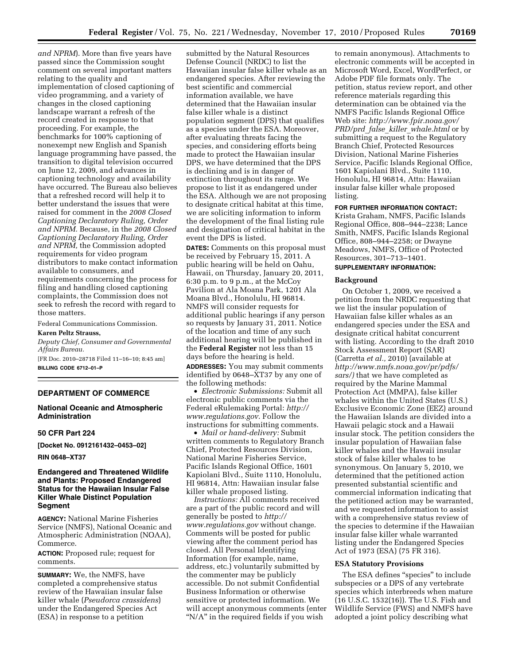*and NPRM*). More than five years have passed since the Commission sought comment on several important matters relating to the quality and implementation of closed captioning of video programming, and a variety of changes in the closed captioning landscape warrant a refresh of the record created in response to that proceeding. For example, the benchmarks for 100% captioning of nonexempt new English and Spanish language programming have passed, the transition to digital television occurred on June 12, 2009, and advances in captioning technology and availability have occurred. The Bureau also believes that a refreshed record will help it to better understand the issues that were raised for comment in the *2008 Closed Captioning Declaratory Ruling, Order and NPRM.* Because, in the *2008 Closed Captioning Declaratory Ruling, Order and NPRM,* the Commission adopted requirements for video program distributors to make contact information available to consumers, and requirements concerning the process for filing and handling closed captioning complaints, the Commission does not seek to refresh the record with regard to those matters.

Federal Communications Commission.

# **Karen Peltz Strauss,**

*Deputy Chief, Consumer and Governmental Affairs Bureau.* 

[FR Doc. 2010–28718 Filed 11–16–10; 8:45 am] **BILLING CODE 6712–01–P** 

# **DEPARTMENT OF COMMERCE**

# **National Oceanic and Atmospheric Administration**

#### **50 CFR Part 224**

**[Docket No. 0912161432–0453–02]** 

**RIN 0648–XT37** 

# **Endangered and Threatened Wildlife and Plants: Proposed Endangered Status for the Hawaiian Insular False Killer Whale Distinct Population Segment**

**AGENCY:** National Marine Fisheries Service (NMFS), National Oceanic and Atmospheric Administration (NOAA), Commerce.

**ACTION:** Proposed rule; request for comments.

**SUMMARY:** We, the NMFS, have completed a comprehensive status review of the Hawaiian insular false killer whale (*Pseudorca crassidens*) under the Endangered Species Act (ESA) in response to a petition

submitted by the Natural Resources Defense Council (NRDC) to list the Hawaiian insular false killer whale as an endangered species. After reviewing the best scientific and commercial information available, we have determined that the Hawaiian insular false killer whale is a distinct population segment (DPS) that qualifies as a species under the ESA. Moreover, after evaluating threats facing the species, and considering efforts being made to protect the Hawaiian insular DPS, we have determined that the DPS is declining and is in danger of extinction throughout its range. We propose to list it as endangered under the ESA. Although we are not proposing to designate critical habitat at this time, we are soliciting information to inform the development of the final listing rule and designation of critical habitat in the event the DPS is listed.

**DATES:** Comments on this proposal must be received by February 15, 2011. A public hearing will be held on Oahu, Hawaii, on Thursday, January 20, 2011, 6:30 p.m. to 9 p.m., at the McCoy Pavilion at Ala Moana Park, 1201 Ala Moana Blvd., Honolulu, HI 96814. NMFS will consider requests for additional public hearings if any person so requests by January 31, 2011. Notice of the location and time of any such additional hearing will be published in the **Federal Register** not less than 15 days before the hearing is held.

**ADDRESSES:** You may submit comments identified by 0648–XT37 by any one of the following methods:

• *Electronic Submissions:* Submit all electronic public comments via the Federal eRulemaking Portal: *[http://](http://www.regulations.gov)  [www.regulations.gov](http://www.regulations.gov)*. Follow the instructions for submitting comments.

• *Mail or hand-delivery:* Submit written comments to Regulatory Branch Chief, Protected Resources Division, National Marine Fisheries Service, Pacific Islands Regional Office, 1601 Kapiolani Blvd., Suite 1110, Honolulu, HI 96814, Attn: Hawaiian insular false killer whale proposed listing.

*Instructions:* All comments received are a part of the public record and will generally be posted to *[http://](http://www.regulations.gov) [www.regulations.gov](http://www.regulations.gov)* without change. Comments will be posted for public viewing after the comment period has closed. All Personal Identifying Information (for example, name, address, etc.) voluntarily submitted by the commenter may be publicly accessible. Do not submit Confidential Business Information or otherwise sensitive or protected information. We will accept anonymous comments (enter "N/A" in the required fields if you wish

to remain anonymous). Attachments to electronic comments will be accepted in Microsoft Word, Excel, WordPerfect, or Adobe PDF file formats only. The petition, status review report, and other reference materials regarding this determination can be obtained via the NMFS Pacific Islands Regional Office Web site: *[http://www.fpir.noaa.gov/](http://www.fpir.noaa.gov/PRD/prd_false_killer_whale.html)  PRD/prd*\_*false*\_*killer*\_*[whale.html](http://www.fpir.noaa.gov/PRD/prd_false_killer_whale.html)* or by submitting a request to the Regulatory Branch Chief, Protected Resources Division, National Marine Fisheries Service, Pacific Islands Regional Office, 1601 Kapiolani Blvd., Suite 1110, Honolulu, HI 96814, Attn: Hawaiian insular false killer whale proposed listing.

#### **FOR FURTHER INFORMATION CONTACT:**

Krista Graham, NMFS, Pacific Islands Regional Office, 808–944–2238; Lance Smith, NMFS, Pacific Islands Regional Office, 808–944–2258; or Dwayne Meadows, NMFS, Office of Protected Resources, 301–713–1401.

# **SUPPLEMENTARY INFORMATION:**

### **Background**

On October 1, 2009, we received a petition from the NRDC requesting that we list the insular population of Hawaiian false killer whales as an endangered species under the ESA and designate critical habitat concurrent with listing. According to the draft 2010 Stock Assessment Report (SAR) (Carretta *et al.,* 2010) (available at *[http://www.nmfs.noaa.gov/pr/pdfs/](http://www.nmfs.noaa.gov/pr/pdfs/sars/) [sars/\)](http://www.nmfs.noaa.gov/pr/pdfs/sars/)* that we have completed as required by the Marine Mammal Protection Act (MMPA), false killer whales within the United States (U.S.) Exclusive Economic Zone (EEZ) around the Hawaiian Islands are divided into a Hawaii pelagic stock and a Hawaii insular stock. The petition considers the insular population of Hawaiian false killer whales and the Hawaii insular stock of false killer whales to be synonymous. On January 5, 2010, we determined that the petitioned action presented substantial scientific and commercial information indicating that the petitioned action may be warranted, and we requested information to assist with a comprehensive status review of the species to determine if the Hawaiian insular false killer whale warranted listing under the Endangered Species Act of 1973 (ESA) (75 FR 316).

### **ESA Statutory Provisions**

The ESA defines "species" to include subspecies or a DPS of any vertebrate species which interbreeds when mature (16 U.S.C. 1532(16)). The U.S. Fish and Wildlife Service (FWS) and NMFS have adopted a joint policy describing what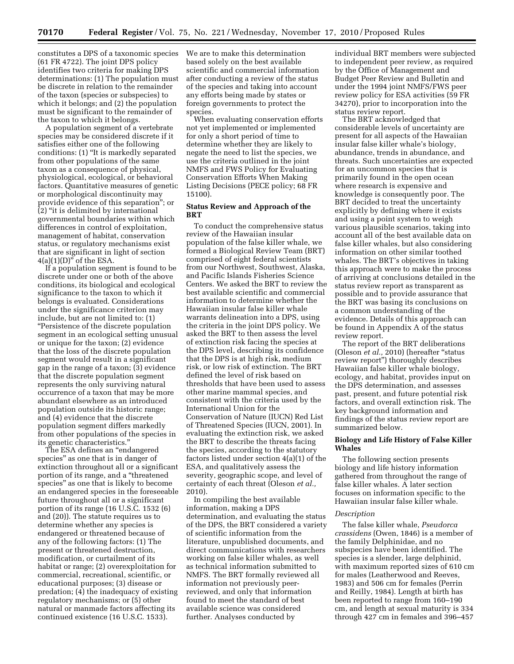constitutes a DPS of a taxonomic species (61 FR 4722). The joint DPS policy identifies two criteria for making DPS determinations: (1) The population must be discrete in relation to the remainder of the taxon (species or subspecies) to which it belongs; and (2) the population must be significant to the remainder of the taxon to which it belongs.

A population segment of a vertebrate species may be considered discrete if it satisfies either one of the following conditions: (1) ''It is markedly separated from other populations of the same taxon as a consequence of physical, physiological, ecological, or behavioral factors. Quantitative measures of genetic or morphological discontinuity may provide evidence of this separation''; or  $(2)$  "it is delimited by international governmental boundaries within which differences in control of exploitation, management of habitat, conservation status, or regulatory mechanisms exist that are significant in light of section  $4(a)(1)(D)$ <sup>"</sup> of the ESA.

If a population segment is found to be discrete under one or both of the above conditions, its biological and ecological significance to the taxon to which it belongs is evaluated. Considerations under the significance criterion may include, but are not limited to: (1) ''Persistence of the discrete population segment in an ecological setting unusual or unique for the taxon; (2) evidence that the loss of the discrete population segment would result in a significant gap in the range of a taxon;  $(3)$  evidence that the discrete population segment represents the only surviving natural occurrence of a taxon that may be more abundant elsewhere as an introduced population outside its historic range; and (4) evidence that the discrete population segment differs markedly from other populations of the species in its genetic characteristics.''

The ESA defines an ''endangered species'' as one that is in danger of extinction throughout all or a significant portion of its range, and a ''threatened species'' as one that is likely to become an endangered species in the foreseeable future throughout all or a significant portion of its range (16 U.S.C. 1532 (6) and (20)). The statute requires us to determine whether any species is endangered or threatened because of any of the following factors: (1) The present or threatened destruction, modification, or curtailment of its habitat or range; (2) overexploitation for commercial, recreational, scientific, or educational purposes; (3) disease or predation; (4) the inadequacy of existing regulatory mechanisms; or (5) other natural or manmade factors affecting its continued existence (16 U.S.C. 1533).

We are to make this determination based solely on the best available scientific and commercial information after conducting a review of the status of the species and taking into account any efforts being made by states or foreign governments to protect the species.

When evaluating conservation efforts not yet implemented or implemented for only a short period of time to determine whether they are likely to negate the need to list the species, we use the criteria outlined in the joint NMFS and FWS Policy for Evaluating Conservation Efforts When Making Listing Decisions (PECE policy; 68 FR 15100).

# **Status Review and Approach of the BRT**

To conduct the comprehensive status review of the Hawaiian insular population of the false killer whale, we formed a Biological Review Team (BRT) comprised of eight federal scientists from our Northwest, Southwest, Alaska, and Pacific Islands Fisheries Science Centers. We asked the BRT to review the best available scientific and commercial information to determine whether the Hawaiian insular false killer whale warrants delineation into a DPS, using the criteria in the joint DPS policy. We asked the BRT to then assess the level of extinction risk facing the species at the DPS level, describing its confidence that the DPS is at high risk, medium risk, or low risk of extinction. The BRT defined the level of risk based on thresholds that have been used to assess other marine mammal species, and consistent with the criteria used by the International Union for the Conservation of Nature (IUCN) Red List of Threatened Species (IUCN, 2001). In evaluating the extinction risk, we asked the BRT to describe the threats facing the species, according to the statutory factors listed under section 4(a)(1) of the ESA, and qualitatively assess the severity, geographic scope, and level of certainty of each threat (Oleson *et al.,*  2010).

In compiling the best available information, making a DPS determination, and evaluating the status of the DPS, the BRT considered a variety of scientific information from the literature, unpublished documents, and direct communications with researchers working on false killer whales, as well as technical information submitted to NMFS. The BRT formally reviewed all information not previously peerreviewed, and only that information found to meet the standard of best available science was considered further. Analyses conducted by

individual BRT members were subjected to independent peer review, as required by the Office of Management and Budget Peer Review and Bulletin and under the 1994 joint NMFS/FWS peer review policy for ESA activities (59 FR 34270), prior to incorporation into the status review report.

The BRT acknowledged that considerable levels of uncertainty are present for all aspects of the Hawaiian insular false killer whale's biology, abundance, trends in abundance, and threats. Such uncertainties are expected for an uncommon species that is primarily found in the open ocean where research is expensive and knowledge is consequently poor. The BRT decided to treat the uncertainty explicitly by defining where it exists and using a point system to weigh various plausible scenarios, taking into account all of the best available data on false killer whales, but also considering information on other similar toothed whales. The BRT's objectives in taking this approach were to make the process of arriving at conclusions detailed in the status review report as transparent as possible and to provide assurance that the BRT was basing its conclusions on a common understanding of the evidence. Details of this approach can be found in Appendix A of the status review report.

The report of the BRT deliberations (Oleson *et al.,* 2010) (hereafter ''status review report'') thoroughly describes Hawaiian false killer whale biology, ecology, and habitat, provides input on the DPS determination, and assesses past, present, and future potential risk factors, and overall extinction risk. The key background information and findings of the status review report are summarized below.

### **Biology and Life History of False Killer Whales**

The following section presents biology and life history information gathered from throughout the range of false killer whales. A later section focuses on information specific to the Hawaiian insular false killer whale.

#### *Description*

The false killer whale, *Pseudorca crassidens* (Owen, 1846) is a member of the family Delphinidae, and no subspecies have been identified. The species is a slender, large delphinid, with maximum reported sizes of 610 cm for males (Leatherwood and Reeves, 1983) and 506 cm for females (Perrin and Reilly, 1984). Length at birth has been reported to range from 160–190 cm, and length at sexual maturity is 334 through 427 cm in females and 396–457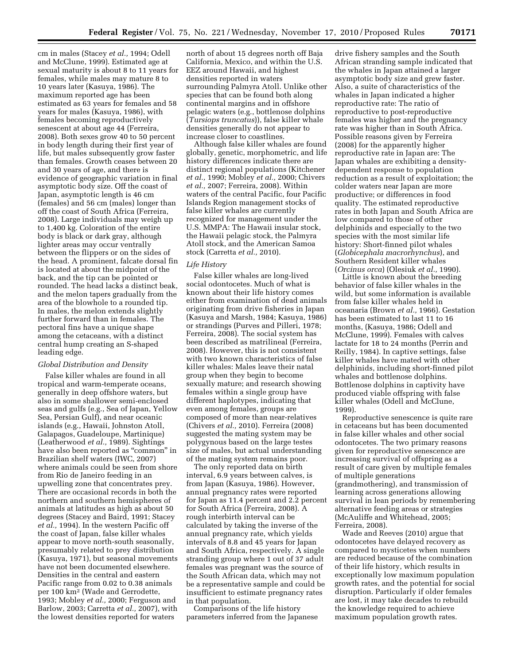cm in males (Stacey *et al.,* 1994; Odell and McClune, 1999). Estimated age at sexual maturity is about 8 to 11 years for females, while males may mature 8 to 10 years later (Kasuya, 1986). The maximum reported age has been estimated as 63 years for females and 58 years for males (Kasuya, 1986), with females becoming reproductively senescent at about age 44 (Ferreira, 2008). Both sexes grow 40 to 50 percent in body length during their first year of life, but males subsequently grow faster than females. Growth ceases between 20 and 30 years of age, and there is evidence of geographic variation in final asymptotic body size. Off the coast of Japan, asymptotic length is 46 cm (females) and 56 cm (males) longer than off the coast of South Africa (Ferreira, 2008). Large individuals may weigh up to 1,400 kg. Coloration of the entire body is black or dark gray, although lighter areas may occur ventrally between the flippers or on the sides of the head. A prominent, falcate dorsal fin is located at about the midpoint of the back, and the tip can be pointed or rounded. The head lacks a distinct beak, and the melon tapers gradually from the area of the blowhole to a rounded tip. In males, the melon extends slightly further forward than in females. The pectoral fins have a unique shape among the cetaceans, with a distinct central hump creating an S-shaped leading edge.

# *Global Distribution and Density*

False killer whales are found in all tropical and warm-temperate oceans, generally in deep offshore waters, but also in some shallower semi-enclosed seas and gulfs (e.g., Sea of Japan, Yellow Sea, Persian Gulf), and near oceanic islands (e.g., Hawaii, Johnston Atoll, Galapagos, Guadeloupe, Martinique) (Leatherwood *et al.,* 1989). Sightings have also been reported as ''common'' in Brazilian shelf waters (IWC, 2007) where animals could be seen from shore from Rio de Janeiro feeding in an upwelling zone that concentrates prey. There are occasional records in both the northern and southern hemispheres of animals at latitudes as high as about 50 degrees (Stacey and Baird, 1991; Stacey *et al.,* 1994). In the western Pacific off the coast of Japan, false killer whales appear to move north-south seasonally, presumably related to prey distribution (Kasuya, 1971), but seasonal movements have not been documented elsewhere. Densities in the central and eastern Pacific range from 0.02 to 0.38 animals per 100 km2 (Wade and Gerrodette, 1993; Mobley *et al.,* 2000; Ferguson and Barlow, 2003; Carretta *et al.,* 2007), with the lowest densities reported for waters

north of about 15 degrees north off Baja California, Mexico, and within the U.S. EEZ around Hawaii, and highest densities reported in waters surrounding Palmyra Atoll. Unlike other species that can be found both along continental margins and in offshore pelagic waters (e.g., bottlenose dolphins (*Tursiops truncatus*)), false killer whale densities generally do not appear to increase closer to coastlines.

Although false killer whales are found globally, genetic, morphometric, and life history differences indicate there are distinct regional populations (Kitchener *et al.,* 1990; Mobley *et al.,* 2000; Chivers *et al.,* 2007; Ferreira, 2008). Within waters of the central Pacific, four Pacific Islands Region management stocks of false killer whales are currently recognized for management under the U.S. MMPA: The Hawaii insular stock, the Hawaii pelagic stock, the Palmyra Atoll stock, and the American Samoa stock (Carretta *et al.,* 2010).

#### *Life History*

False killer whales are long-lived social odontocetes. Much of what is known about their life history comes either from examination of dead animals originating from drive fisheries in Japan (Kasuya and Marsh, 1984; Kasuya, 1986) or strandings (Purves and Pilleri, 1978; Ferreira, 2008). The social system has been described as matrilineal (Ferreira, 2008). However, this is not consistent with two known characteristics of false killer whales: Males leave their natal group when they begin to become sexually mature; and research showing females within a single group have different haplotypes, indicating that even among females, groups are composed of more than near-relatives (Chivers *et al.,* 2010). Ferreira (2008) suggested the mating system may be polygynous based on the large testes size of males, but actual understanding of the mating system remains poor.

The only reported data on birth interval, 6.9 years between calves, is from Japan (Kasuya, 1986). However, annual pregnancy rates were reported for Japan as 11.4 percent and 2.2 percent for South Africa (Ferreira, 2008). A rough interbirth interval can be calculated by taking the inverse of the annual pregnancy rate, which yields intervals of 8.8 and 45 years for Japan and South Africa, respectively. A single stranding group where 1 out of 37 adult females was pregnant was the source of the South African data, which may not be a representative sample and could be insufficient to estimate pregnancy rates in that population.

Comparisons of the life history parameters inferred from the Japanese

drive fishery samples and the South African stranding sample indicated that the whales in Japan attained a larger asymptotic body size and grew faster. Also, a suite of characteristics of the whales in Japan indicated a higher reproductive rate: The ratio of reproductive to post-reproductive females was higher and the pregnancy rate was higher than in South Africa. Possible reasons given by Ferreira (2008) for the apparently higher reproductive rate in Japan are: The Japan whales are exhibiting a densitydependent response to population reduction as a result of exploitation; the colder waters near Japan are more productive; or differences in food quality. The estimated reproductive rates in both Japan and South Africa are low compared to those of other delphinids and especially to the two species with the most similar life history: Short-finned pilot whales (*Globicephala macrorhynchus*), and Southern Resident killer whales (*Orcinus orca*) (Olesiuk *et al.,* 1990).

Little is known about the breeding behavior of false killer whales in the wild, but some information is available from false killer whales held in oceanaria (Brown *et al.,* 1966). Gestation has been estimated to last 11 to 16 months, (Kasuya, 1986; Odell and McClune, 1999). Females with calves lactate for 18 to 24 months (Perrin and Reilly, 1984). In captive settings, false killer whales have mated with other delphinids, including short-finned pilot whales and bottlenose dolphins. Bottlenose dolphins in captivity have produced viable offspring with false killer whales (Odell and McClune, 1999).

Reproductive senescence is quite rare in cetaceans but has been documented in false killer whales and other social odontocetes. The two primary reasons given for reproductive senescence are increasing survival of offspring as a result of care given by multiple females of multiple generations (grandmothering), and transmission of learning across generations allowing survival in lean periods by remembering alternative feeding areas or strategies (McAuliffe and Whitehead, 2005; Ferreira, 2008).

Wade and Reeves (2010) argue that odontocetes have delayed recovery as compared to mysticetes when numbers are reduced because of the combination of their life history, which results in exceptionally low maximum population growth rates, and the potential for social disruption. Particularly if older females are lost, it may take decades to rebuild the knowledge required to achieve maximum population growth rates.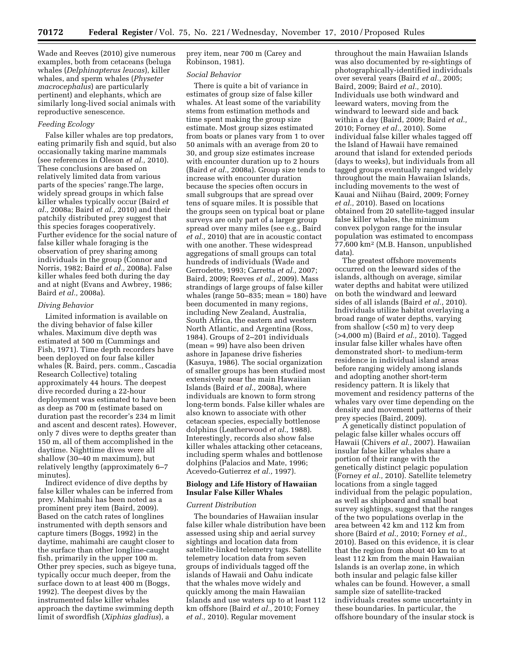Wade and Reeves (2010) give numerous examples, both from cetaceans (beluga whales (*Delphinapterus leucas*), killer whales, and sperm whales (*Physeter macrocephalus*) are particularly pertinent) and elephants, which are similarly long-lived social animals with reproductive senescence.

# *Feeding Ecology*

False killer whales are top predators, eating primarily fish and squid, but also occasionally taking marine mammals (see references in Oleson *et al.,* 2010). These conclusions are based on relatively limited data from various parts of the species' range.The large, widely spread groups in which false killer whales typically occur (Baird *et al.,* 2008a; Baird *et al.,* 2010) and their patchily distributed prey suggest that this species forages cooperatively. Further evidence for the social nature of false killer whale foraging is the observation of prey sharing among individuals in the group (Connor and Norris, 1982; Baird *et al.,* 2008a). False killer whales feed both during the day and at night (Evans and Awbrey, 1986; Baird *et al.,* 2008a).

### *Diving Behavior*

Limited information is available on the diving behavior of false killer whales. Maximum dive depth was estimated at 500 m (Cummings and Fish, 1971). Time depth recorders have been deployed on four false killer whales (R. Baird, pers. comm., Cascadia Research Collective) totaling approximately 44 hours. The deepest dive recorded during a 22-hour deployment was estimated to have been as deep as 700 m (estimate based on duration past the recorder's 234 m limit and ascent and descent rates). However, only 7 dives were to depths greater than 150 m, all of them accomplished in the daytime. Nighttime dives were all shallow (30–40 m maximum), but relatively lengthy (approximately 6–7 minutes).

Indirect evidence of dive depths by false killer whales can be inferred from prey. Mahimahi has been noted as a prominent prey item (Baird, 2009). Based on the catch rates of longlines instrumented with depth sensors and capture timers (Boggs, 1992) in the daytime, mahimahi are caught closer to the surface than other longline-caught fish, primarily in the upper 100 m. Other prey species, such as bigeye tuna, typically occur much deeper, from the surface down to at least 400 m (Boggs, 1992). The deepest dives by the instrumented false killer whales approach the daytime swimming depth limit of swordfish (*Xiphias gladius*), a

prey item, near 700 m (Carey and Robinson, 1981).

#### *Social Behavior*

There is quite a bit of variance in estimates of group size of false killer whales. At least some of the variability stems from estimation methods and time spent making the group size estimate. Most group sizes estimated from boats or planes vary from 1 to over 50 animals with an average from 20 to 30, and group size estimates increase with encounter duration up to 2 hours (Baird *et al.,* 2008a). Group size tends to increase with encounter duration because the species often occurs in small subgroups that are spread over tens of square miles. It is possible that the groups seen on typical boat or plane surveys are only part of a larger group spread over many miles (see e.g., Baird *et al.,* 2010) that are in acoustic contact with one another. These widespread aggregations of small groups can total hundreds of individuals (Wade and Gerrodette, 1993; Carretta *et al.,* 2007; Baird, 2009; Reeves *et al.,* 2009). Mass strandings of large groups of false killer whales (range 50–835; mean = 180) have been documented in many regions, including New Zealand, Australia, South Africa, the eastern and western North Atlantic, and Argentina (Ross, 1984). Groups of 2–201 individuals (mean = 99) have also been driven ashore in Japanese drive fisheries (Kasuya, 1986). The social organization of smaller groups has been studied most extensively near the main Hawaiian Islands (Baird *et al.,* 2008a), where individuals are known to form strong long-term bonds. False killer whales are also known to associate with other cetacean species, especially bottlenose dolphins (Leatherwood *et al.,* 1988). Interestingly, records also show false killer whales attacking other cetaceans, including sperm whales and bottlenose dolphins (Palacios and Mate, 1996; Acevedo-Gutierrez *et al.,* 1997).

# **Biology and Life History of Hawaiian Insular False Killer Whales**

## *Current Distribution*

The boundaries of Hawaiian insular false killer whale distribution have been assessed using ship and aerial survey sightings and location data from satellite-linked telemetry tags. Satellite telemetry location data from seven groups of individuals tagged off the islands of Hawaii and Oahu indicate that the whales move widely and quickly among the main Hawaiian Islands and use waters up to at least 112 km offshore (Baird *et al.,* 2010; Forney *et al.,* 2010). Regular movement

throughout the main Hawaiian Islands was also documented by re-sightings of photographically-identified individuals over several years (Baird *et al.,* 2005; Baird, 2009; Baird *et al.,* 2010). Individuals use both windward and leeward waters, moving from the windward to leeward side and back within a day (Baird, 2009; Baird *et al.,*  2010; Forney *et al.,* 2010). Some individual false killer whales tagged off the Island of Hawaii have remained around that island for extended periods (days to weeks), but individuals from all tagged groups eventually ranged widely throughout the main Hawaiian Islands, including movements to the west of Kauai and Niihau (Baird, 2009; Forney *et al.,* 2010). Based on locations obtained from 20 satellite-tagged insular false killer whales, the minimum convex polygon range for the insular population was estimated to encompass 77,600 km2 (M.B. Hanson, unpublished data).

The greatest offshore movements occurred on the leeward sides of the islands, although on average, similar water depths and habitat were utilized on both the windward and leeward sides of all islands (Baird *et al.,* 2010). Individuals utilize habitat overlaying a broad range of water depths, varying from shallow (<50 m) to very deep (>4,000 m) (Baird *et al.,* 2010). Tagged insular false killer whales have often demonstrated short- to medium-term residence in individual island areas before ranging widely among islands and adopting another short-term residency pattern. It is likely that movement and residency patterns of the whales vary over time depending on the density and movement patterns of their prey species (Baird, 2009).

A genetically distinct population of pelagic false killer whales occurs off Hawaii (Chivers *et al.,* 2007). Hawaiian insular false killer whales share a portion of their range with the genetically distinct pelagic population (Forney *et al.,* 2010). Satellite telemetry locations from a single tagged individual from the pelagic population, as well as shipboard and small boat survey sightings, suggest that the ranges of the two populations overlap in the area between 42 km and 112 km from shore (Baird *et al.,* 2010; Forney *et al.,*  2010). Based on this evidence, it is clear that the region from about 40 km to at least 112 km from the main Hawaiian Islands is an overlap zone, in which both insular and pelagic false killer whales can be found. However, a small sample size of satellite-tracked individuals creates some uncertainty in these boundaries. In particular, the offshore boundary of the insular stock is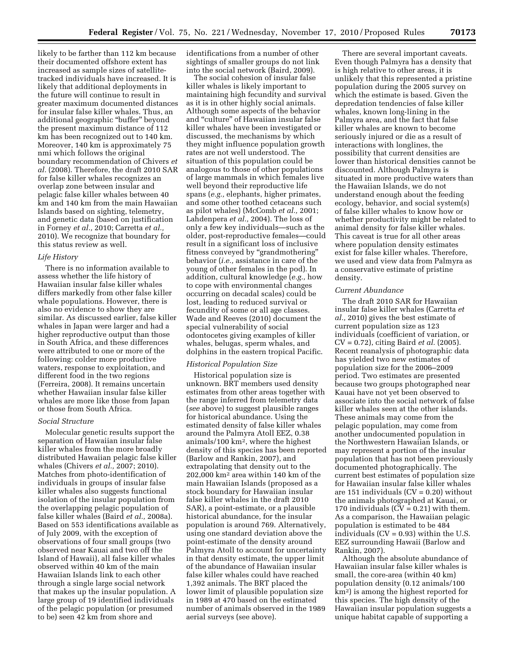likely to be farther than 112 km because their documented offshore extent has increased as sample sizes of satellitetracked individuals have increased. It is likely that additional deployments in the future will continue to result in greater maximum documented distances for insular false killer whales. Thus, an additional geographic "buffer" beyond the present maximum distance of 112 km has been recognized out to 140 km. Moreover, 140 km is approximately 75 nmi which follows the original boundary recommendation of Chivers *et al.* (2008). Therefore, the draft 2010 SAR for false killer whales recognizes an overlap zone between insular and pelagic false killer whales between 40 km and 140 km from the main Hawaiian Islands based on sighting, telemetry, and genetic data (based on justification in Forney *et al.,* 2010; Carretta *et al.,*  2010). We recognize that boundary for this status review as well.

### *Life History*

There is no information available to assess whether the life history of Hawaiian insular false killer whales differs markedly from other false killer whale populations. However, there is also no evidence to show they are similar. As discussed earlier, false killer whales in Japan were larger and had a higher reproductive output than those in South Africa, and these differences were attributed to one or more of the following: colder more productive waters, response to exploitation, and different food in the two regions (Ferreira, 2008). It remains uncertain whether Hawaiian insular false killer whales are more like those from Japan or those from South Africa.

#### *Social Structure*

Molecular genetic results support the separation of Hawaiian insular false killer whales from the more broadly distributed Hawaiian pelagic false killer whales (Chivers *et al.,* 2007; 2010). Matches from photo-identification of individuals in groups of insular false killer whales also suggests functional isolation of the insular population from the overlapping pelagic population of false killer whales (Baird *et al.,* 2008a). Based on 553 identifications available as of July 2009, with the exception of observations of four small groups (two observed near Kauai and two off the Island of Hawaii), all false killer whales observed within 40 km of the main Hawaiian Islands link to each other through a single large social network that makes up the insular population. A large group of 19 identified individuals of the pelagic population (or presumed to be) seen 42 km from shore and

identifications from a number of other sightings of smaller groups do not link into the social network (Baird, 2009).

The social cohesion of insular false killer whales is likely important to maintaining high fecundity and survival as it is in other highly social animals. Although some aspects of the behavior and ''culture'' of Hawaiian insular false killer whales have been investigated or discussed, the mechanisms by which they might influence population growth rates are not well understood. The situation of this population could be analogous to those of other populations of large mammals in which females live well beyond their reproductive life spans (*e.g.,* elephants, higher primates, and some other toothed cetaceans such as pilot whales) (McComb *et al.,* 2001; Lahdenpera *et al.,* 2004). The loss of only a few key individuals—such as the older, post-reproductive females—could result in a significant loss of inclusive fitness conveyed by "grandmothering" behavior (*i.e.,* assistance in care of the young of other females in the pod). In addition, cultural knowledge (*e.g.,* how to cope with environmental changes occurring on decadal scales) could be lost, leading to reduced survival or fecundity of some or all age classes. Wade and Reeves (2010) document the special vulnerability of social odontocetes giving examples of killer whales, belugas, sperm whales, and dolphins in the eastern tropical Pacific.

#### *Historical Population Size*

Historical population size is unknown. BRT members used density estimates from other areas together with the range inferred from telemetry data (*see* above) to suggest plausible ranges for historical abundance. Using the estimated density of false killer whales around the Palmyra Atoll EEZ, 0.38 animals/100 km2, where the highest density of this species has been reported (Barlow and Rankin, 2007), and extrapolating that density out to the 202,000 km2 area within 140 km of the main Hawaiian Islands (proposed as a stock boundary for Hawaiian insular false killer whales in the draft 2010 SAR), a point-estimate, or a plausible historical abundance, for the insular population is around 769. Alternatively, using one standard deviation above the point-estimate of the density around Palmyra Atoll to account for uncertainty in that density estimate, the upper limit of the abundance of Hawaiian insular false killer whales could have reached 1,392 animals. The BRT placed the lower limit of plausible population size in 1989 at 470 based on the estimated number of animals observed in the 1989 aerial surveys (see above).

There are several important caveats. Even though Palmyra has a density that is high relative to other areas, it is unlikely that this represented a pristine population during the 2005 survey on which the estimate is based. Given the depredation tendencies of false killer whales, known long-lining in the Palmyra area, and the fact that false killer whales are known to become seriously injured or die as a result of interactions with longlines, the possibility that current densities are lower than historical densities cannot be discounted. Although Palmyra is situated in more productive waters than the Hawaiian Islands, we do not understand enough about the feeding ecology, behavior, and social system(s) of false killer whales to know how or whether productivity might be related to animal density for false killer whales. This caveat is true for all other areas where population density estimates exist for false killer whales. Therefore, we used and view data from Palmyra as a conservative estimate of pristine density.

### *Current Abundance*

The draft 2010 SAR for Hawaiian insular false killer whales (Carretta *et al.,* 2010) gives the best estimate of current population size as 123 individuals (coefficient of variation, or CV = 0.72), citing Baird *et al.* (2005). Recent reanalysis of photographic data has yielded two new estimates of population size for the 2006–2009 period. Two estimates are presented because two groups photographed near Kauai have not yet been observed to associate into the social network of false killer whales seen at the other islands. These animals may come from the pelagic population, may come from another undocumented population in the Northwestern Hawaiian Islands, or may represent a portion of the insular population that has not been previously documented photographically. The current best estimates of population size for Hawaiian insular false killer whales are 151 individuals  $(CV = 0.20)$  without the animals photographed at Kauai, or 170 individuals  $(CV = 0.21)$  with them. As a comparison, the Hawaiian pelagic population is estimated to be 484 individuals  $(CV = 0.93)$  within the U.S. EEZ surrounding Hawaii (Barlow and Rankin, 2007).

Although the absolute abundance of Hawaiian insular false killer whales is small, the core-area (within 40 km) population density (0.12 animals/100 km2) is among the highest reported for this species. The high density of the Hawaiian insular population suggests a unique habitat capable of supporting a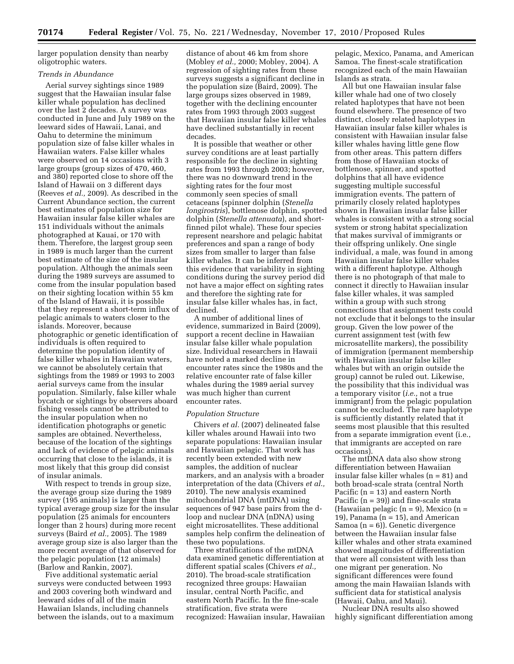larger population density than nearby oligotrophic waters.

# *Trends in Abundance*

Aerial survey sightings since 1989 suggest that the Hawaiian insular false killer whale population has declined over the last 2 decades. A survey was conducted in June and July 1989 on the leeward sides of Hawaii, Lanai, and Oahu to determine the minimum population size of false killer whales in Hawaiian waters. False killer whales were observed on 14 occasions with 3 large groups (group sizes of 470, 460, and 380) reported close to shore off the Island of Hawaii on 3 different days (Reeves *et al.,* 2009). As described in the Current Abundance section, the current best estimates of population size for Hawaiian insular false killer whales are 151 individuals without the animals photographed at Kauai, or 170 with them. Therefore, the largest group seen in 1989 is much larger than the current best estimate of the size of the insular population. Although the animals seen during the 1989 surveys are assumed to come from the insular population based on their sighting location within 55 km of the Island of Hawaii, it is possible that they represent a short-term influx of pelagic animals to waters closer to the islands. Moreover, because photographic or genetic identification of individuals is often required to determine the population identity of false killer whales in Hawaiian waters, we cannot be absolutely certain that sightings from the 1989 or 1993 to 2003 aerial surveys came from the insular population. Similarly, false killer whale bycatch or sightings by observers aboard fishing vessels cannot be attributed to the insular population when no identification photographs or genetic samples are obtained. Nevertheless, because of the location of the sightings and lack of evidence of pelagic animals occurring that close to the islands, it is most likely that this group did consist of insular animals.

With respect to trends in group size, the average group size during the 1989 survey (195 animals) is larger than the typical average group size for the insular population (25 animals for encounters longer than 2 hours) during more recent surveys (Baird *et al.,* 2005). The 1989 average group size is also larger than the more recent average of that observed for the pelagic population (12 animals) (Barlow and Rankin, 2007).

Five additional systematic aerial surveys were conducted between 1993 and 2003 covering both windward and leeward sides of all of the main Hawaiian Islands, including channels between the islands, out to a maximum distance of about 46 km from shore (Mobley *et al.,* 2000; Mobley, 2004). A regression of sighting rates from these surveys suggests a significant decline in the population size (Baird, 2009). The large groups sizes observed in 1989, together with the declining encounter rates from 1993 through 2003 suggest that Hawaiian insular false killer whales have declined substantially in recent decades.

It is possible that weather or other survey conditions are at least partially responsible for the decline in sighting rates from 1993 through 2003; however, there was no downward trend in the sighting rates for the four most commonly seen species of small cetaceans (spinner dolphin (*Stenella longirostris*), bottlenose dolphin, spotted dolphin (*Stenella attenuata*), and shortfinned pilot whale). These four species represent nearshore and pelagic habitat preferences and span a range of body sizes from smaller to larger than false killer whales. It can be inferred from this evidence that variability in sighting conditions during the survey period did not have a major effect on sighting rates and therefore the sighting rate for insular false killer whales has, in fact, declined.

A number of additional lines of evidence, summarized in Baird (2009), support a recent decline in Hawaiian insular false killer whale population size. Individual researchers in Hawaii have noted a marked decline in encounter rates since the 1980s and the relative encounter rate of false killer whales during the 1989 aerial survey was much higher than current encounter rates.

### *Population Structure*

Chivers *et al.* (2007) delineated false killer whales around Hawaii into two separate populations: Hawaiian insular and Hawaiian pelagic. That work has recently been extended with new samples, the addition of nuclear markers, and an analysis with a broader interpretation of the data (Chivers *et al.,*  2010). The new analysis examined mitochondrial DNA (mtDNA) using sequences of 947 base pairs from the dloop and nuclear DNA (nDNA) using eight microsatellites. These additional samples help confirm the delineation of these two populations.

Three stratifications of the mtDNA data examined genetic differentiation at different spatial scales (Chivers *et al.,*  2010). The broad-scale stratification recognized three groups: Hawaiian insular, central North Pacific, and eastern North Pacific. In the fine-scale stratification, five strata were recognized: Hawaiian insular, Hawaiian

pelagic, Mexico, Panama, and American Samoa. The finest-scale stratification recognized each of the main Hawaiian Islands as strata.

All but one Hawaiian insular false killer whale had one of two closely related haplotypes that have not been found elsewhere. The presence of two distinct, closely related haplotypes in Hawaiian insular false killer whales is consistent with Hawaiian insular false killer whales having little gene flow from other areas. This pattern differs from those of Hawaiian stocks of bottlenose, spinner, and spotted dolphins that all have evidence suggesting multiple successful immigration events. The pattern of primarily closely related haplotypes shown in Hawaiian insular false killer whales is consistent with a strong social system or strong habitat specialization that makes survival of immigrants or their offspring unlikely. One single individual, a male, was found in among Hawaiian insular false killer whales with a different haplotype. Although there is no photograph of that male to connect it directly to Hawaiian insular false killer whales, it was sampled within a group with such strong connections that assignment tests could not exclude that it belongs to the insular group. Given the low power of the current assignment test (with few microsatellite markers), the possibility of immigration (permanent membership with Hawaiian insular false killer whales but with an origin outside the group) cannot be ruled out. Likewise, the possibility that this individual was a temporary visitor (*i.e.,* not a true immigrant) from the pelagic population cannot be excluded. The rare haplotype is sufficiently distantly related that it seems most plausible that this resulted from a separate immigration event (i.e., that immigrants are accepted on rare occasions).

The mtDNA data also show strong differentiation between Hawaiian insular false killer whales (n = 81) and both broad-scale strata (central North Pacific  $(n = 13)$  and eastern North Pacific  $(n = 39)$  and fine-scale strata (Hawaiian pelagic  $(n = 9)$ , Mexico  $(n = 1)$ 19), Panama  $(n = 15)$ , and American Samoa  $(n = 6)$ ). Genetic divergence between the Hawaiian insular false killer whales and other strata examined showed magnitudes of differentiation that were all consistent with less than one migrant per generation. No significant differences were found among the main Hawaiian Islands with sufficient data for statistical analysis (Hawaii, Oahu, and Maui).

Nuclear DNA results also showed highly significant differentiation among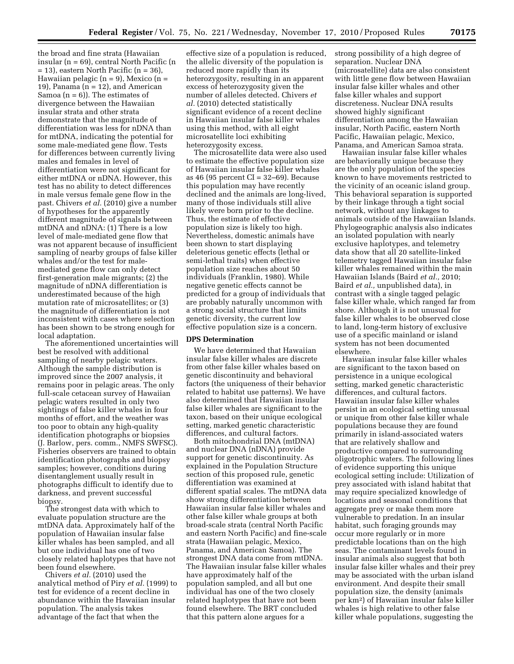the broad and fine strata (Hawaiian insular (n = 69), central North Pacific (n  $= 13$ ), eastern North Pacific (n  $= 36$ ), Hawaiian pelagic (n = 9), Mexico (n = 19), Panama ( $n = 12$ ), and American Samoa  $(n = 6)$ ). The estimates of divergence between the Hawaiian insular strata and other strata demonstrate that the magnitude of differentiation was less for nDNA than for mtDNA, indicating the potential for some male-mediated gene flow. Tests for differences between currently living males and females in level of differentiation were not significant for either mtDNA or nDNA. However, this test has no ability to detect differences in male versus female gene flow in the past. Chivers *et al.* (2010) give a number of hypotheses for the apparently different magnitude of signals between mtDNA and nDNA: (1) There is a low level of male-mediated gene flow that was not apparent because of insufficient sampling of nearby groups of false killer whales and/or the test for malemediated gene flow can only detect first-generation male migrants; (2) the magnitude of nDNA differentiation is underestimated because of the high mutation rate of microsatellites; or (3) the magnitude of differentiation is not inconsistent with cases where selection has been shown to be strong enough for local adaptation.

The aforementioned uncertainties will best be resolved with additional sampling of nearby pelagic waters. Although the sample distribution is improved since the 2007 analysis, it remains poor in pelagic areas. The only full-scale cetacean survey of Hawaiian pelagic waters resulted in only two sightings of false killer whales in four months of effort, and the weather was too poor to obtain any high-quality identification photographs or biopsies (J. Barlow, pers. comm., NMFS SWFSC). Fisheries observers are trained to obtain identification photographs and biopsy samples; however, conditions during disentanglement usually result in photographs difficult to identify due to darkness, and prevent successful biopsy.

The strongest data with which to evaluate population structure are the mtDNA data. Approximately half of the population of Hawaiian insular false killer whales has been sampled, and all but one individual has one of two closely related haplotypes that have not been found elsewhere.

Chivers *et al.* (2010) used the analytical method of Piry *et al.* (1999) to test for evidence of a recent decline in abundance within the Hawaiian insular population. The analysis takes advantage of the fact that when the

effective size of a population is reduced, the allelic diversity of the population is reduced more rapidly than its heterozygosity, resulting in an apparent excess of heterozygosity given the number of alleles detected. Chivers *et al.* (2010) detected statistically significant evidence of a recent decline in Hawaiian insular false killer whales using this method, with all eight microsatellite loci exhibiting heterozygosity excess.

The microsatellite data were also used to estimate the effective population size of Hawaiian insular false killer whales as 46 (95 percent CI = 32–69). Because this population may have recently declined and the animals are long-lived, many of those individuals still alive likely were born prior to the decline. Thus, the estimate of effective population size is likely too high. Nevertheless, domestic animals have been shown to start displaying deleterious genetic effects (lethal or semi-lethal traits) when effective population size reaches about 50 individuals (Franklin, 1980). While negative genetic effects cannot be predicted for a group of individuals that are probably naturally uncommon with a strong social structure that limits genetic diversity, the current low effective population size is a concern.

## **DPS Determination**

We have determined that Hawaiian insular false killer whales are discrete from other false killer whales based on genetic discontinuity and behavioral factors (the uniqueness of their behavior related to habitat use patterns). We have also determined that Hawaiian insular false killer whales are significant to the taxon, based on their unique ecological setting, marked genetic characteristic differences, and cultural factors.

Both mitochondrial DNA (mtDNA) and nuclear DNA (nDNA) provide support for genetic discontinuity. As explained in the Population Structure section of this proposed rule, genetic differentiation was examined at different spatial scales. The mtDNA data show strong differentiation between Hawaiian insular false killer whales and other false killer whale groups at both broad-scale strata (central North Pacific and eastern North Pacific) and fine-scale strata (Hawaiian pelagic, Mexico, Panama, and American Samoa). The strongest DNA data come from mtDNA. The Hawaiian insular false killer whales have approximately half of the population sampled, and all but one individual has one of the two closely related haplotypes that have not been found elsewhere. The BRT concluded that this pattern alone argues for a

strong possibility of a high degree of separation. Nuclear DNA (microsatellite) data are also consistent with little gene flow between Hawaiian insular false killer whales and other false killer whales and support discreteness. Nuclear DNA results showed highly significant differentiation among the Hawaiian insular, North Pacific, eastern North Pacific, Hawaiian pelagic, Mexico, Panama, and American Samoa strata.

Hawaiian insular false killer whales are behaviorally unique because they are the only population of the species known to have movements restricted to the vicinity of an oceanic island group. This behavioral separation is supported by their linkage through a tight social network, without any linkages to animals outside of the Hawaiian Islands. Phylogeographic analysis also indicates an isolated population with nearly exclusive haplotypes, and telemetry data show that all 20 satellite-linked telemetry tagged Hawaiian insular false killer whales remained within the main Hawaiian Islands (Baird *et al.,* 2010; Baird *et al.,* unpublished data), in contrast with a single tagged pelagic false killer whale, which ranged far from shore. Although it is not unusual for false killer whales to be observed close to land, long-term history of exclusive use of a specific mainland or island system has not been documented elsewhere.

Hawaiian insular false killer whales are significant to the taxon based on persistence in a unique ecological setting, marked genetic characteristic differences, and cultural factors. Hawaiian insular false killer whales persist in an ecological setting unusual or unique from other false killer whale populations because they are found primarily in island-associated waters that are relatively shallow and productive compared to surrounding oligotrophic waters. The following lines of evidence supporting this unique ecological setting include: Utilization of prey associated with island habitat that may require specialized knowledge of locations and seasonal conditions that aggregate prey or make them more vulnerable to predation. In an insular habitat, such foraging grounds may occur more regularly or in more predictable locations than on the high seas. The contaminant levels found in insular animals also suggest that both insular false killer whales and their prey may be associated with the urban island environment. And despite their small population size, the density (animals per km2) of Hawaiian insular false killer whales is high relative to other false killer whale populations, suggesting the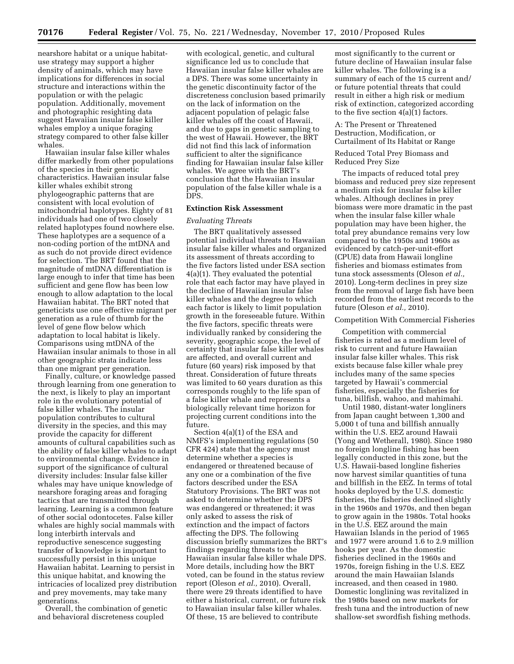nearshore habitat or a unique habitatuse strategy may support a higher density of animals, which may have implications for differences in social structure and interactions within the population or with the pelagic population. Additionally, movement and photographic resighting data suggest Hawaiian insular false killer whales employ a unique foraging strategy compared to other false killer whales.

Hawaiian insular false killer whales differ markedly from other populations of the species in their genetic characteristics. Hawaiian insular false killer whales exhibit strong phylogeographic patterns that are consistent with local evolution of mitochondrial haplotypes. Eighty of 81 individuals had one of two closely related haplotypes found nowhere else. These haplotypes are a sequence of a non-coding portion of the mtDNA and as such do not provide direct evidence for selection. The BRT found that the magnitude of mtDNA differentiation is large enough to infer that time has been sufficient and gene flow has been low enough to allow adaptation to the local Hawaiian habitat. The BRT noted that geneticists use one effective migrant per generation as a rule of thumb for the level of gene flow below which adaptation to local habitat is likely. Comparisons using mtDNA of the Hawaiian insular animals to those in all other geographic strata indicate less than one migrant per generation.

Finally, culture, or knowledge passed through learning from one generation to the next, is likely to play an important role in the evolutionary potential of false killer whales. The insular population contributes to cultural diversity in the species, and this may provide the capacity for different amounts of cultural capabilities such as the ability of false killer whales to adapt to environmental change. Evidence in support of the significance of cultural diversity includes: Insular false killer whales may have unique knowledge of nearshore foraging areas and foraging tactics that are transmitted through learning. Learning is a common feature of other social odontocetes. False killer whales are highly social mammals with long interbirth intervals and reproductive senescence suggesting transfer of knowledge is important to successfully persist in this unique Hawaiian habitat. Learning to persist in this unique habitat, and knowing the intricacies of localized prey distribution and prey movements, may take many generations.

Overall, the combination of genetic and behavioral discreteness coupled

with ecological, genetic, and cultural significance led us to conclude that Hawaiian insular false killer whales are a DPS. There was some uncertainty in the genetic discontinuity factor of the discreteness conclusion based primarily on the lack of information on the adjacent population of pelagic false killer whales off the coast of Hawaii, and due to gaps in genetic sampling to the west of Hawaii. However, the BRT did not find this lack of information sufficient to alter the significance finding for Hawaiian insular false killer whales. We agree with the BRT's conclusion that the Hawaiian insular population of the false killer whale is a DPS.

#### **Extinction Risk Assessment**

## *Evaluating Threats*

The BRT qualitatively assessed potential individual threats to Hawaiian insular false killer whales and organized its assessment of threats according to the five factors listed under ESA section 4(a)(1). They evaluated the potential role that each factor may have played in the decline of Hawaiian insular false killer whales and the degree to which each factor is likely to limit population growth in the foreseeable future. Within the five factors, specific threats were individually ranked by considering the severity, geographic scope, the level of certainty that insular false killer whales are affected, and overall current and future (60 years) risk imposed by that threat. Consideration of future threats was limited to 60 years duration as this corresponds roughly to the life span of a false killer whale and represents a biologically relevant time horizon for projecting current conditions into the future.

Section 4(a)(1) of the ESA and NMFS's implementing regulations (50 CFR 424) state that the agency must determine whether a species is endangered or threatened because of any one or a combination of the five factors described under the ESA Statutory Provisions. The BRT was not asked to determine whether the DPS was endangered or threatened; it was only asked to assess the risk of extinction and the impact of factors affecting the DPS. The following discussion briefly summarizes the BRT's findings regarding threats to the Hawaiian insular false killer whale DPS. More details, including how the BRT voted, can be found in the status review report (Oleson *et al.,* 2010). Overall, there were 29 threats identified to have either a historical, current, or future risk to Hawaiian insular false killer whales. Of these, 15 are believed to contribute

most significantly to the current or future decline of Hawaiian insular false killer whales. The following is a summary of each of the 15 current and/ or future potential threats that could result in either a high risk or medium risk of extinction, categorized according to the five section 4(a)(1) factors.

A: The Present or Threatened Destruction, Modification, or Curtailment of Its Habitat or Range

Reduced Total Prey Biomass and Reduced Prey Size

The impacts of reduced total prey biomass and reduced prey size represent a medium risk for insular false killer whales. Although declines in prey biomass were more dramatic in the past when the insular false killer whale population may have been higher, the total prey abundance remains very low compared to the 1950s and 1960s as evidenced by catch-per-unit-effort (CPUE) data from Hawaii longline fisheries and biomass estimates from tuna stock assessments (Oleson *et al.,*  2010). Long-term declines in prey size from the removal of large fish have been recorded from the earliest records to the future (Oleson *et al.,* 2010).

#### Competition With Commercial Fisheries

Competition with commercial fisheries is rated as a medium level of risk to current and future Hawaiian insular false killer whales. This risk exists because false killer whale prey includes many of the same species targeted by Hawaii's commercial fisheries, especially the fisheries for tuna, billfish, wahoo, and mahimahi.

Until 1980, distant-water longliners from Japan caught between 1,300 and 5,000 t of tuna and billfish annually within the U.S. EEZ around Hawaii (Yong and Wetherall, 1980). Since 1980 no foreign longline fishing has been legally conducted in this zone, but the U.S. Hawaii-based longline fisheries now harvest similar quantities of tuna and billfish in the EEZ. In terms of total hooks deployed by the U.S. domestic fisheries, the fisheries declined slightly in the 1960s and 1970s, and then began to grow again in the 1980s. Total hooks in the U.S. EEZ around the main Hawaiian Islands in the period of 1965 and 1977 were around 1.6 to 2.9 million hooks per year. As the domestic fisheries declined in the 1960s and 1970s, foreign fishing in the U.S. EEZ around the main Hawaiian Islands increased, and then ceased in 1980. Domestic longlining was revitalized in the 1980s based on new markets for fresh tuna and the introduction of new shallow-set swordfish fishing methods.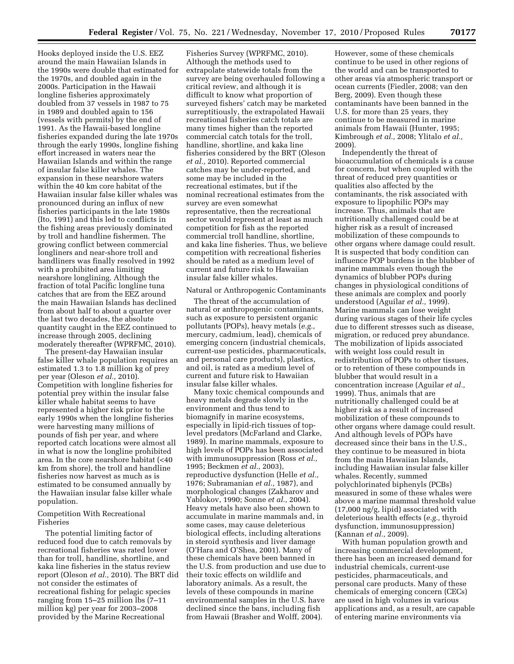Hooks deployed inside the U.S. EEZ around the main Hawaiian Islands in the 1990s were double that estimated for the 1970s, and doubled again in the 2000s. Participation in the Hawaii longline fisheries approximately doubled from 37 vessels in 1987 to 75 in 1989 and doubled again to 156 (vessels with permits) by the end of 1991. As the Hawaii-based longline fisheries expanded during the late 1970s through the early 1990s, longline fishing effort increased in waters near the Hawaiian Islands and within the range of insular false killer whales. The expansion in these nearshore waters within the 40 km core habitat of the Hawaiian insular false killer whales was pronounced during an influx of new fisheries participants in the late 1980s (Ito, 1991) and this led to conflicts in the fishing areas previously dominated by troll and handline fishermen. The growing conflict between commercial longliners and near-shore troll and handliners was finally resolved in 1992 with a prohibited area limiting nearshore longlining. Although the fraction of total Pacific longline tuna catches that are from the EEZ around the main Hawaiian Islands has declined from about half to about a quarter over the last two decades, the absolute quantity caught in the EEZ continued to increase through 2005, declining moderately thereafter (WPRFMC, 2010).

The present-day Hawaiian insular false killer whale population requires an estimated 1.3 to 1.8 million kg of prey per year (Oleson *et al.,* 2010). Competition with longline fisheries for potential prey within the insular false killer whale habitat seems to have represented a higher risk prior to the early 1990s when the longline fisheries were harvesting many millions of pounds of fish per year, and where reported catch locations were almost all in what is now the longline prohibited area. In the core nearshore habitat (<40 km from shore), the troll and handline fisheries now harvest as much as is estimated to be consumed annually by the Hawaiian insular false killer whale population.

# Competition With Recreational Fisheries

The potential limiting factor of reduced food due to catch removals by recreational fisheries was rated lower than for troll, handline, shortline, and kaka line fisheries in the status review report (Oleson *et al.,* 2010). The BRT did not consider the estimates of recreational fishing for pelagic species ranging from 15–25 million lbs (7–11 million kg) per year for 2003–2008 provided by the Marine Recreational

Fisheries Survey (WPRFMC, 2010). Although the methods used to extrapolate statewide totals from the survey are being overhauled following a critical review, and although it is difficult to know what proportion of surveyed fishers' catch may be marketed surreptitiously, the extrapolated Hawaii recreational fisheries catch totals are many times higher than the reported commercial catch totals for the troll, handline, shortline, and kaka line fisheries considered by the BRT (Oleson *et al.,* 2010). Reported commercial catches may be under-reported, and some may be included in the recreational estimates, but if the nominal recreational estimates from the survey are even somewhat representative, then the recreational sector would represent at least as much competition for fish as the reported commercial troll handline, shortline, and kaka line fisheries. Thus, we believe competition with recreational fisheries should be rated as a medium level of current and future risk to Hawaiian insular false killer whales.

# Natural or Anthropogenic Contaminants

The threat of the accumulation of natural or anthropogenic contaminants, such as exposure to persistent organic pollutants (POPs), heavy metals (*e.g.,*  mercury, cadmium, lead), chemicals of emerging concern (industrial chemicals, current-use pesticides, pharmaceuticals, and personal care products), plastics, and oil, is rated as a medium level of current and future risk to Hawaiian insular false killer whales.

Many toxic chemical compounds and heavy metals degrade slowly in the environment and thus tend to biomagnify in marine ecosystems, especially in lipid-rich tissues of toplevel predators (McFarland and Clarke, 1989). In marine mammals, exposure to high levels of POPs has been associated with immunosuppression (Ross *et al.,*  1995; Beckmen *et al.,* 2003), reproductive dysfunction (Helle *et al.,*  1976; Subramanian *et al.,* 1987), and morphological changes (Zakharov and Yablokov, 1990; Sonne *et al.,* 2004). Heavy metals have also been shown to accumulate in marine mammals and, in some cases, may cause deleterious biological effects, including alterations in steroid synthesis and liver damage (O'Hara and O'Shea, 2001). Many of these chemicals have been banned in the U.S. from production and use due to their toxic effects on wildlife and laboratory animals. As a result, the levels of these compounds in marine environmental samples in the U.S. have declined since the bans, including fish from Hawaii (Brasher and Wolff, 2004).

However, some of these chemicals continue to be used in other regions of the world and can be transported to other areas via atmospheric transport or ocean currents (Fiedler, 2008; van den Berg, 2009). Even though these contaminants have been banned in the U.S. for more than 25 years, they continue to be measured in marine animals from Hawaii (Hunter, 1995; Kimbrough *et al.,* 2008; Ylitalo *et al.,*  2009).

Independently the threat of bioaccumulation of chemicals is a cause for concern, but when coupled with the threat of reduced prey quantities or qualities also affected by the contaminants, the risk associated with exposure to lipophilic POPs may increase. Thus, animals that are nutritionally challenged could be at higher risk as a result of increased mobilization of these compounds to other organs where damage could result. It is suspected that body condition can influence POP burdens in the blubber of marine mammals even though the dynamics of blubber POPs during changes in physiological conditions of these animals are complex and poorly understood (Aguilar *et al.,* 1999). Marine mammals can lose weight during various stages of their life cycles due to different stresses such as disease, migration, or reduced prey abundance. The mobilization of lipids associated with weight loss could result in redistribution of POPs to other tissues, or to retention of these compounds in blubber that would result in a concentration increase (Aguilar *et al.,*  1999). Thus, animals that are nutritionally challenged could be at higher risk as a result of increased mobilization of these compounds to other organs where damage could result. And although levels of POPs have decreased since their bans in the U.S., they continue to be measured in biota from the main Hawaiian Islands, including Hawaiian insular false killer whales. Recently, summed polychlorinated biphenyls (PCBs) measured in some of these whales were above a marine mammal threshold value (17,000 ng/g, lipid) associated with deleterious health effects (*e.g.,* thyroid dysfunction, immunosuppression) (Kannan *et al.,* 2009).

With human population growth and increasing commercial development, there has been an increased demand for industrial chemicals, current-use pesticides, pharmaceuticals, and personal care products. Many of these chemicals of emerging concern (CECs) are used in high volumes in various applications and, as a result, are capable of entering marine environments via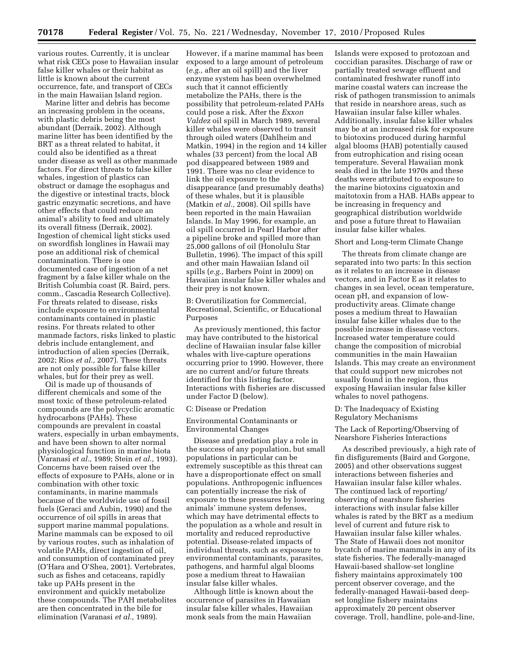various routes. Currently, it is unclear what risk CECs pose to Hawaiian insular false killer whales or their habitat as little is known about the current occurrence, fate, and transport of CECs in the main Hawaiian Island region.

Marine litter and debris has become an increasing problem in the oceans, with plastic debris being the most abundant (Derraik, 2002). Although marine litter has been identified by the BRT as a threat related to habitat, it could also be identified as a threat under disease as well as other manmade factors. For direct threats to false killer whales, ingestion of plastics can obstruct or damage the esophagus and the digestive or intestinal tracts, block gastric enzymatic secretions, and have other effects that could reduce an animal's ability to feed and ultimately its overall fitness (Derraik, 2002). Ingestion of chemical light sticks used on swordfish longlines in Hawaii may pose an additional risk of chemical contamination. There is one documented case of ingestion of a net fragment by a false killer whale on the British Columbia coast (R. Baird, pers. comm., Cascadia Research Collective). For threats related to disease, risks include exposure to environmental contaminants contained in plastic resins. For threats related to other manmade factors, risks linked to plastic debris include entanglement, and introduction of alien species (Derraik, 2002; Rios *et al.,* 2007). These threats are not only possible for false killer whales, but for their prey as well.

Oil is made up of thousands of different chemicals and some of the most toxic of these petroleum-related compounds are the polycyclic aromatic hydrocarbons (PAHs). These compounds are prevalent in coastal waters, especially in urban embayments, and have been shown to alter normal physiological function in marine biota (Varanasi *et al.,* 1989; Stein *et al.,* 1993). Concerns have been raised over the effects of exposure to PAHs, alone or in combination with other toxic contaminants, in marine mammals because of the worldwide use of fossil fuels (Geraci and Aubin, 1990) and the occurrence of oil spills in areas that support marine mammal populations. Marine mammals can be exposed to oil by various routes, such as inhalation of volatile PAHs, direct ingestion of oil, and consumption of contaminated prey (O'Hara and O'Shea, 2001). Vertebrates, such as fishes and cetaceans, rapidly take up PAHs present in the environment and quickly metabolize these compounds. The PAH metabolites are then concentrated in the bile for elimination (Varanasi *et al.,* 1989).

However, if a marine mammal has been exposed to a large amount of petroleum (*e.g.,* after an oil spill) and the liver enzyme system has been overwhelmed such that it cannot efficiently metabolize the PAHs, there is the possibility that petroleum-related PAHs could pose a risk. After the *Exxon Valdez* oil spill in March 1989, several killer whales were observed to transit through oiled waters (Dahlheim and Matkin, 1994) in the region and 14 killer whales (33 percent) from the local AB pod disappeared between 1989 and 1991. There was no clear evidence to link the oil exposure to the disappearance (and presumably deaths) of these whales, but it is plausible (Matkin *et al.,* 2008). Oil spills have been reported in the main Hawaiian Islands. In May 1996, for example, an oil spill occurred in Pearl Harbor after a pipeline broke and spilled more than 25,000 gallons of oil (Honolulu Star Bulletin, 1996). The impact of this spill and other main Hawaiian Island oil spills (*e.g.,* Barbers Point in 2009) on Hawaiian insular false killer whales and their prey is not known.

B: Overutilization for Commercial, Recreational, Scientific, or Educational Purposes

As previously mentioned, this factor may have contributed to the historical decline of Hawaiian insular false killer whales with live-capture operations occurring prior to 1990. However, there are no current and/or future threats identified for this listing factor. Interactions with fisheries are discussed under Factor D (below).

#### C: Disease or Predation

Environmental Contaminants or Environmental Changes

Disease and predation play a role in the success of any population, but small populations in particular can be extremely susceptible as this threat can have a disproportionate effect on small populations. Anthropogenic influences can potentially increase the risk of exposure to these pressures by lowering animals' immune system defenses, which may have detrimental effects to the population as a whole and result in mortality and reduced reproductive potential. Disease-related impacts of individual threats, such as exposure to environmental contaminants, parasites, pathogens, and harmful algal blooms pose a medium threat to Hawaiian insular false killer whales.

Although little is known about the occurrence of parasites in Hawaiian insular false killer whales, Hawaiian monk seals from the main Hawaiian

Islands were exposed to protozoan and coccidian parasites. Discharge of raw or partially treated sewage effluent and contaminated freshwater runoff into marine coastal waters can increase the risk of pathogen transmission to animals that reside in nearshore areas, such as Hawaiian insular false killer whales. Additionally, insular false killer whales may be at an increased risk for exposure to biotoxins produced during harmful algal blooms (HAB) potentially caused from eutrophication and rising ocean temperature. Several Hawaiian monk seals died in the late 1970s and these deaths were attributed to exposure to the marine biotoxins ciguatoxin and maitotoxin from a HAB. HABs appear to be increasing in frequency and geographical distribution worldwide and pose a future threat to Hawaiian insular false killer whales.

# Short and Long-term Climate Change

The threats from climate change are separated into two parts: In this section as it relates to an increase in disease vectors, and in Factor E as it relates to changes in sea level, ocean temperature, ocean pH, and expansion of lowproductivity areas. Climate change poses a medium threat to Hawaiian insular false killer whales due to the possible increase in disease vectors. Increased water temperature could change the composition of microbial communities in the main Hawaiian Islands. This may create an environment that could support new microbes not usually found in the region, thus exposing Hawaiian insular false killer whales to novel pathogens.

## D: The Inadequacy of Existing Regulatory Mechanisms

The Lack of Reporting/Observing of Nearshore Fisheries Interactions

As described previously, a high rate of fin disfigurements (Baird and Gorgone, 2005) and other observations suggest interactions between fisheries and Hawaiian insular false killer whales. The continued lack of reporting/ observing of nearshore fisheries interactions with insular false killer whales is rated by the BRT as a medium level of current and future risk to Hawaiian insular false killer whales. The State of Hawaii does not monitor bycatch of marine mammals in any of its state fisheries. The federally-managed Hawaii-based shallow-set longline fishery maintains approximately 100 percent observer coverage, and the federally-managed Hawaii-based deepset longline fishery maintains approximately 20 percent observer coverage. Troll, handline, pole-and-line,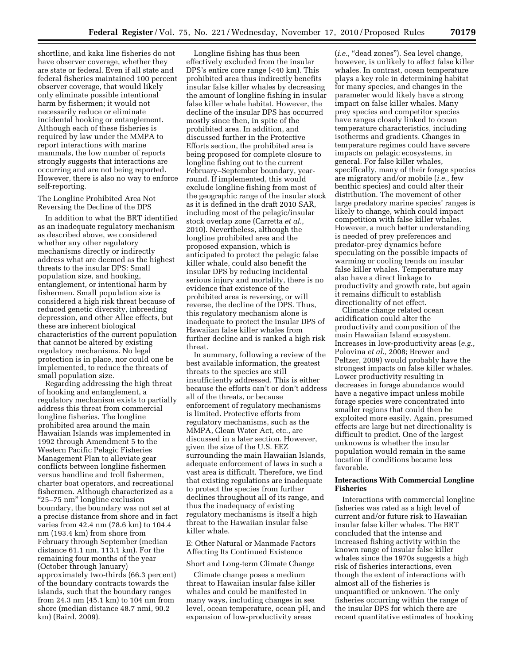shortline, and kaka line fisheries do not have observer coverage, whether they are state or federal. Even if all state and federal fisheries maintained 100 percent observer coverage, that would likely only eliminate possible intentional harm by fishermen; it would not necessarily reduce or eliminate incidental hooking or entanglement. Although each of these fisheries is required by law under the MMPA to report interactions with marine mammals, the low number of reports strongly suggests that interactions are occurring and are not being reported. However, there is also no way to enforce self-reporting.

The Longline Prohibited Area Not Reversing the Decline of the DPS

In addition to what the BRT identified as an inadequate regulatory mechanism as described above, we considered whether any other regulatory mechanisms directly or indirectly address what are deemed as the highest threats to the insular DPS: Small population size, and hooking, entanglement, or intentional harm by fishermen. Small population size is considered a high risk threat because of reduced genetic diversity, inbreeding depression, and other Allee effects, but these are inherent biological characteristics of the current population that cannot be altered by existing regulatory mechanisms. No legal protection is in place, nor could one be implemented, to reduce the threats of small population size.

Regarding addressing the high threat of hooking and entanglement, a regulatory mechanism exists to partially address this threat from commercial longline fisheries. The longline prohibited area around the main Hawaiian Islands was implemented in 1992 through Amendment 5 to the Western Pacific Pelagic Fisheries Management Plan to alleviate gear conflicts between longline fishermen versus handline and troll fishermen, charter boat operators, and recreational fishermen. Although characterized as a ''25–75 nm'' longline exclusion boundary, the boundary was not set at a precise distance from shore and in fact varies from 42.4 nm (78.6 km) to 104.4 nm (193.4 km) from shore from February through September (median distance 61.1 nm, 113.1 km). For the remaining four months of the year (October through January) approximately two-thirds (66.3 percent) of the boundary contracts towards the islands, such that the boundary ranges from 24.3 nm (45.1 km) to 104 nm from shore (median distance 48.7 nmi, 90.2 km) (Baird, 2009).

Longline fishing has thus been effectively excluded from the insular DPS's entire core range (<40 km). This prohibited area thus indirectly benefits insular false killer whales by decreasing the amount of longline fishing in insular false killer whale habitat. However, the decline of the insular DPS has occurred mostly since then, in spite of the prohibited area. In addition, and discussed further in the Protective Efforts section, the prohibited area is being proposed for complete closure to longline fishing out to the current February–September boundary, yearround. If implemented, this would exclude longline fishing from most of the geographic range of the insular stock as it is defined in the draft 2010 SAR, including most of the pelagic/insular stock overlap zone (Carretta *et al.,*  2010). Nevertheless, although the longline prohibited area and the proposed expansion, which is anticipated to protect the pelagic false killer whale, could also benefit the insular DPS by reducing incidental serious injury and mortality, there is no evidence that existence of the prohibited area is reversing, or will reverse, the decline of the DPS. Thus, this regulatory mechanism alone is inadequate to protect the insular DPS of Hawaiian false killer whales from further decline and is ranked a high risk threat.

In summary, following a review of the best available information, the greatest threats to the species are still insufficiently addressed. This is either because the efforts can't or don't address all of the threats, or because enforcement of regulatory mechanisms is limited. Protective efforts from regulatory mechanisms, such as the MMPA, Clean Water Act, etc., are discussed in a later section. However, given the size of the U.S. EEZ surrounding the main Hawaiian Islands, adequate enforcement of laws in such a vast area is difficult. Therefore, we find that existing regulations are inadequate to protect the species from further declines throughout all of its range, and thus the inadequacy of existing regulatory mechanisms is itself a high threat to the Hawaiian insular false killer whale.

E: Other Natural or Manmade Factors Affecting Its Continued Existence

#### Short and Long-term Climate Change

Climate change poses a medium threat to Hawaiian insular false killer whales and could be manifested in many ways, including changes in sea level, ocean temperature, ocean pH, and expansion of low-productivity areas

(*i.e.*, "dead zones"). Sea level change, however, is unlikely to affect false killer whales. In contrast, ocean temperature plays a key role in determining habitat for many species, and changes in the parameter would likely have a strong impact on false killer whales. Many prey species and competitor species have ranges closely linked to ocean temperature characteristics, including isotherms and gradients. Changes in temperature regimes could have severe impacts on pelagic ecosystems, in general. For false killer whales, specifically, many of their forage species are migratory and/or mobile (*i.e.,* few benthic species) and could alter their distribution. The movement of other large predatory marine species' ranges is likely to change, which could impact competition with false killer whales. However, a much better understanding is needed of prey preferences and predator-prey dynamics before speculating on the possible impacts of warming or cooling trends on insular false killer whales. Temperature may also have a direct linkage to productivity and growth rate, but again it remains difficult to establish directionality of net effect.

Climate change related ocean acidification could alter the productivity and composition of the main Hawaiian Island ecosystem. Increases in low-productivity areas (*e.g.,*  Polovina *et al.,* 2008; Brewer and Peltzer, 2009) would probably have the strongest impacts on false killer whales. Lower productivity resulting in decreases in forage abundance would have a negative impact unless mobile forage species were concentrated into smaller regions that could then be exploited more easily. Again, presumed effects are large but net directionality is difficult to predict. One of the largest unknowns is whether the insular population would remain in the same location if conditions became less favorable.

# **Interactions With Commercial Longline Fisheries**

Interactions with commercial longline fisheries was rated as a high level of current and/or future risk to Hawaiian insular false killer whales. The BRT concluded that the intense and increased fishing activity within the known range of insular false killer whales since the 1970s suggests a high risk of fisheries interactions, even though the extent of interactions with almost all of the fisheries is unquantified or unknown. The only fisheries occurring within the range of the insular DPS for which there are recent quantitative estimates of hooking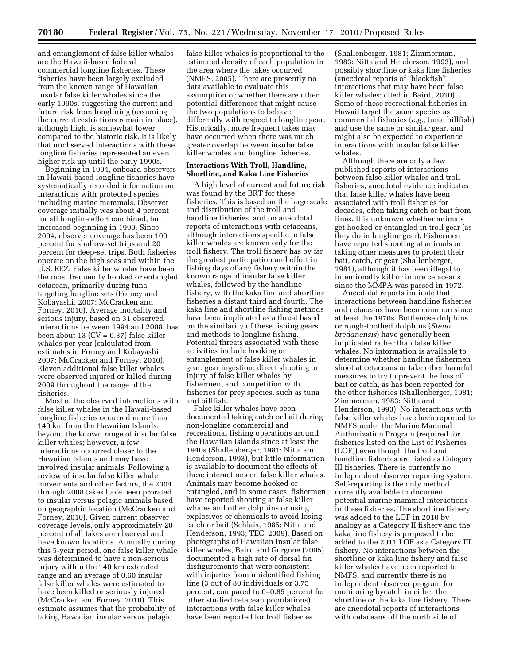and entanglement of false killer whales are the Hawaii-based federal commercial longline fisheries. These fisheries have been largely excluded from the known range of Hawaiian insular false killer whales since the early 1990s, suggesting the current and future risk from longlining (assuming the current restrictions remain in place), although high, is somewhat lower compared to the historic risk. It is likely that unobserved interactions with these longline fisheries represented an even higher risk up until the early 1990s.

Beginning in 1994, onboard observers in Hawaii-based longline fisheries have systematically recorded information on interactions with protected species, including marine mammals. Observer coverage initially was about 4 percent for all longline effort combined, but increased beginning in 1999. Since 2004, observer coverage has been 100 percent for shallow-set trips and 20 percent for deep-set trips. Both fisheries operate on the high seas and within the U.S. EEZ. False killer whales have been the most frequently hooked or entangled cetacean, primarily during tunatargeting longline sets (Forney and Kobayashi, 2007; McCracken and Forney, 2010). Average mortality and serious injury, based on 31 observed interactions between 1994 and 2008, has been about 13 (CV = 0.37) false killer whales per year (calculated from estimates in Forney and Kobayashi, 2007; McCracken and Forney, 2010). Eleven additional false killer whales were observed injured or killed during 2009 throughout the range of the fisheries.

Most of the observed interactions with false killer whales in the Hawaii-based longline fisheries occurred more than 140 km from the Hawaiian Islands, beyond the known range of insular false killer whales; however, a few interactions occurred closer to the Hawaiian Islands and may have involved insular animals. Following a review of insular false killer whale movements and other factors, the 2004 through 2008 takes have been prorated to insular versus pelagic animals based on geographic location (McCracken and Forney, 2010). Given current observer coverage levels, only approximately 20 percent of all takes are observed and have known locations. Annually during this 5-year period, one false killer whale was determined to have a non-serious injury within the 140 km extended range and an average of 0.60 insular false killer whales were estimated to have been killed or seriously injured (McCracken and Forney, 2010). This estimate assumes that the probability of taking Hawaiian insular versus pelagic

false killer whales is proportional to the estimated density of each population in the area where the takes occurred (NMFS, 2005). There are presently no data available to evaluate this assumption or whether there are other potential differences that might cause the two populations to behave differently with respect to longline gear. Historically, more frequent takes may have occurred when there was much greater overlap between insular false killer whales and longline fisheries.

# **Interactions With Troll, Handline, Shortline, and Kaka Line Fisheries**

A high level of current and future risk was found by the BRT for these fisheries. This is based on the large scale and distribution of the troll and handline fisheries, and on anecdotal reports of interactions with cetaceans, although interactions specific to false killer whales are known only for the troll fishery. The troll fishery has by far the greatest participation and effort in fishing days of any fishery within the known range of insular false killer whales, followed by the handline fishery, with the kaka line and shortline fisheries a distant third and fourth. The kaka line and shortline fishing methods have been implicated as a threat based on the similarity of these fishing gears and methods to longline fishing. Potential threats associated with these activities include hooking or entanglement of false killer whales in gear, gear ingestion, direct shooting or injury of false killer whales by fishermen, and competition with fisheries for prey species, such as tuna and billfish.

False killer whales have been documented taking catch or bait during non-longline commercial and recreational fishing operations around the Hawaiian Islands since at least the 1940s (Shallenberger, 1981; Nitta and Henderson, 1993), but little information is available to document the effects of these interactions on false killer whales. Animals may become hooked or entangled, and in some cases, fishermen have reported shooting at false killer whales and other dolphins or using explosives or chemicals to avoid losing catch or bait (Schlais, 1985; Nitta and Henderson, 1993; TEC, 2009). Based on photographs of Hawaiian insular false killer whales, Baird and Gorgone (2005) documented a high rate of dorsal fin disfigurements that were consistent with injuries from unidentified fishing line (3 out of 80 individuals or 3.75 percent, compared to 0–0.85 percent for other studied cetacean populations). Interactions with false killer whales have been reported for troll fisheries

(Shallenberger, 1981; Zimmerman, 1983; Nitta and Henderson, 1993), and possibly shortline or kaka line fisheries (anecdotal reports of ''blackfish'' interactions that may have been false killer whales; cited in Baird, 2010). Some of these recreational fisheries in Hawaii target the same species as commercial fisheries (*e.g.,* tuna, billfish) and use the same or similar gear, and might also be expected to experience interactions with insular false killer whales.

Although there are only a few published reports of interactions between false killer whales and troll fisheries, anecdotal evidence indicates that false killer whales have been associated with troll fisheries for decades, often taking catch or bait from lines. It is unknown whether animals get hooked or entangled in troll gear (as they do in longline gear). Fishermen have reported shooting at animals or taking other measures to protect their bait, catch, or gear (Shallenberger, 1981), although it has been illegal to intentionally kill or injure cetaceans since the MMPA was passed in 1972.

Anecdotal reports indicate that interactions between handline fisheries and cetaceans have been common since at least the 1970s. Bottlenose dolphins or rough-toothed dolphins (*Steno bredanensis*) have generally been implicated rather than false killer whales. No information is available to determine whether handline fishermen shoot at cetaceans or take other harmful measures to try to prevent the loss of bait or catch, as has been reported for the other fisheries (Shallenberger, 1981; Zimmerman, 1983; Nitta and Henderson, 1993). No interactions with false killer whales have been reported to NMFS under the Marine Mammal Authorization Program (required for fisheries listed on the List of Fisheries (LOF)) even though the troll and handline fisheries are listed as Category III fisheries. There is currently no independent observer reporting system. Self-reporting is the only method currently available to document potential marine mammal interactions in these fisheries. The shortline fishery was added to the LOF in 2010 by analogy as a Category II fishery and the kaka line fishery is proposed to be added to the 2011 LOF as a Category III fishery. No interactions between the shortline or kaka line fishery and false killer whales have been reported to NMFS, and currently there is no independent observer program for monitoring bycatch in either the shortline or the kaka line fishery. There are anecdotal reports of interactions with cetaceans off the north side of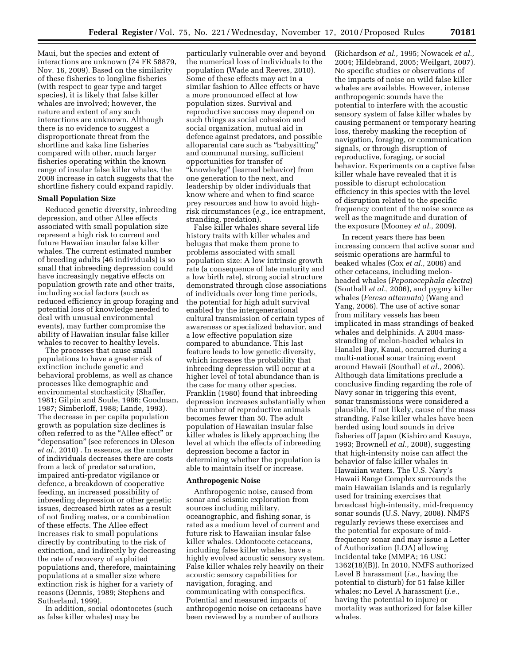Maui, but the species and extent of interactions are unknown (74 FR 58879, Nov. 16, 2009). Based on the similarity of these fisheries to longline fisheries (with respect to gear type and target species), it is likely that false killer whales are involved; however, the nature and extent of any such interactions are unknown. Although there is no evidence to suggest a disproportionate threat from the shortline and kaka line fisheries compared with other, much larger fisheries operating within the known range of insular false killer whales, the 2008 increase in catch suggests that the shortline fishery could expand rapidly.

### **Small Population Size**

Reduced genetic diversity, inbreeding depression, and other Allee effects associated with small population size represent a high risk to current and future Hawaiian insular false killer whales. The current estimated number of breeding adults (46 individuals) is so small that inbreeding depression could have increasingly negative effects on population growth rate and other traits, including social factors (such as reduced efficiency in group foraging and potential loss of knowledge needed to deal with unusual environmental events), may further compromise the ability of Hawaiian insular false killer whales to recover to healthy levels.

The processes that cause small populations to have a greater risk of extinction include genetic and behavioral problems, as well as chance processes like demographic and environmental stochasticity (Shaffer, 1981; Gilpin and Soule, 1986; Goodman, 1987; Simberloff, 1988; Lande, 1993). The decrease in per capita population growth as population size declines is often referred to as the "Allee effect" or ''depensation'' (see references in Oleson *et al.,* 2010) . In essence, as the number of individuals decreases there are costs from a lack of predator saturation, impaired anti-predator vigilance or defence, a breakdown of cooperative feeding, an increased possibility of inbreeding depression or other genetic issues, decreased birth rates as a result of not finding mates, or a combination of these effects. The Allee effect increases risk to small populations directly by contributing to the risk of extinction, and indirectly by decreasing the rate of recovery of exploited populations and, therefore, maintaining populations at a smaller size where extinction risk is higher for a variety of reasons (Dennis, 1989; Stephens and Sutherland, 1999).

In addition, social odontocetes (such as false killer whales) may be

particularly vulnerable over and beyond the numerical loss of individuals to the population (Wade and Reeves, 2010). Some of these effects may act in a similar fashion to Allee effects or have a more pronounced effect at low population sizes. Survival and reproductive success may depend on such things as social cohesion and social organization, mutual aid in defence against predators, and possible alloparental care such as ''babysitting'' and communal nursing, sufficient opportunities for transfer of ''knowledge'' (learned behavior) from one generation to the next, and leadership by older individuals that know where and when to find scarce prey resources and how to avoid highrisk circumstances (*e.g.,* ice entrapment, stranding, predation).

False killer whales share several life history traits with killer whales and belugas that make them prone to problems associated with small population size: A low intrinsic growth rate (a consequence of late maturity and a low birth rate), strong social structure demonstrated through close associations of individuals over long time periods, the potential for high adult survival enabled by the intergenerational cultural transmission of certain types of awareness or specialized behavior, and a low effective population size compared to abundance. This last feature leads to low genetic diversity, which increases the probability that inbreeding depression will occur at a higher level of total abundance than is the case for many other species. Franklin (1980) found that inbreeding depression increases substantially when the number of reproductive animals becomes fewer than 50. The adult population of Hawaiian insular false killer whales is likely approaching the level at which the effects of inbreeding depression become a factor in determining whether the population is able to maintain itself or increase.

#### **Anthropogenic Noise**

Anthropogenic noise, caused from sonar and seismic exploration from sources including military, oceanographic, and fishing sonar, is rated as a medium level of current and future risk to Hawaiian insular false killer whales. Odontocete cetaceans, including false killer whales, have a highly evolved acoustic sensory system. False killer whales rely heavily on their acoustic sensory capabilities for navigation, foraging, and communicating with conspecifics. Potential and measured impacts of anthropogenic noise on cetaceans have been reviewed by a number of authors

(Richardson *et al.,* 1995; Nowacek *et al.,*  2004; Hildebrand, 2005; Weilgart, 2007). No specific studies or observations of the impacts of noise on wild false killer whales are available. However, intense anthropogenic sounds have the potential to interfere with the acoustic sensory system of false killer whales by causing permanent or temporary hearing loss, thereby masking the reception of navigation, foraging, or communication signals, or through disruption of reproductive, foraging, or social behavior. Experiments on a captive false killer whale have revealed that it is possible to disrupt echolocation efficiency in this species with the level of disruption related to the specific frequency content of the noise source as well as the magnitude and duration of the exposure (Mooney *et al.,* 2009).

In recent years there has been increasing concern that active sonar and seismic operations are harmful to beaked whales (Cox *et al.,* 2006) and other cetaceans, including melonheaded whales (*Peponocephala electra*) (Southall *et al.,* 2006), and pygmy killer whales (*Feresa attenuata*) (Wang and Yang, 2006). The use of active sonar from military vessels has been implicated in mass strandings of beaked whales and delphinids. A 2004 massstranding of melon-headed whales in Hanalei Bay, Kauai, occurred during a multi-national sonar training event around Hawaii (Southall *et al.,* 2006). Although data limitations preclude a conclusive finding regarding the role of Navy sonar in triggering this event, sonar transmissions were considered a plausible, if not likely, cause of the mass stranding. False killer whales have been herded using loud sounds in drive fisheries off Japan (Kishiro and Kasuya, 1993; Brownell *et al.,* 2008), suggesting that high-intensity noise can affect the behavior of false killer whales in Hawaiian waters. The U.S. Navy's Hawaii Range Complex surrounds the main Hawaiian Islands and is regularly used for training exercises that broadcast high-intensity, mid-frequency sonar sounds (U.S. Navy, 2008). NMFS regularly reviews these exercises and the potential for exposure of midfrequency sonar and may issue a Letter of Authorization (LOA) allowing incidental take (MMPA; 16 USC 1362(18)(B)). In 2010, NMFS authorized Level B harassment (*i.e.,* having the potential to disturb) for 51 false killer whales; no Level A harassment (*i.e.,*  having the potential to injure) or mortality was authorized for false killer whales.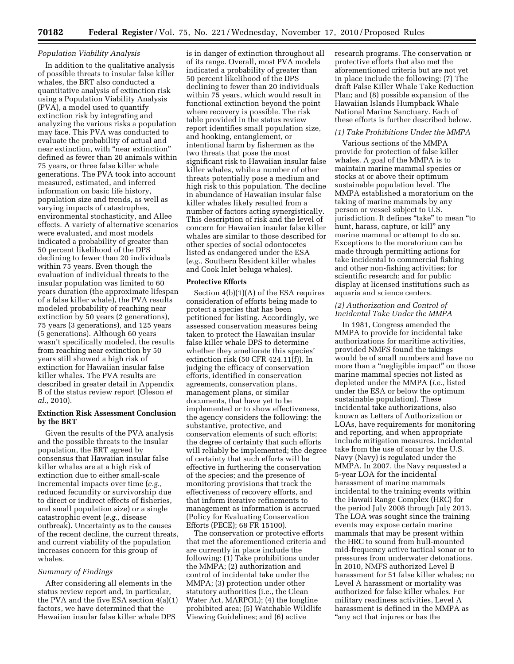### *Population Viability Analysis*

In addition to the qualitative analysis of possible threats to insular false killer whales, the BRT also conducted a quantitative analysis of extinction risk using a Population Viability Analysis (PVA), a model used to quantify extinction risk by integrating and analyzing the various risks a population may face. This PVA was conducted to evaluate the probability of actual and near extinction, with ''near extinction'' defined as fewer than 20 animals within 75 years, or three false killer whale generations. The PVA took into account measured, estimated, and inferred information on basic life history, population size and trends, as well as varying impacts of catastrophes, environmental stochasticity, and Allee effects. A variety of alternative scenarios were evaluated, and most models indicated a probability of greater than 50 percent likelihood of the DPS declining to fewer than 20 individuals within 75 years. Even though the evaluation of individual threats to the insular population was limited to 60 years duration (the approximate lifespan of a false killer whale), the PVA results modeled probability of reaching near extinction by 50 years (2 generations), 75 years (3 generations), and 125 years (5 generations). Although 60 years wasn't specifically modeled, the results from reaching near extinction by 50 years still showed a high risk of extinction for Hawaiian insular false killer whales. The PVA results are described in greater detail in Appendix B of the status review report (Oleson *et al.,* 2010).

# **Extinction Risk Assessment Conclusion by the BRT**

Given the results of the PVA analysis and the possible threats to the insular population, the BRT agreed by consensus that Hawaiian insular false killer whales are at a high risk of extinction due to either small-scale incremental impacts over time (*e.g.,*  reduced fecundity or survivorship due to direct or indirect effects of fisheries, and small population size) or a single catastrophic event (*e.g.,* disease outbreak). Uncertainty as to the causes of the recent decline, the current threats, and current viability of the population increases concern for this group of whales.

# *Summary of Findings*

After considering all elements in the status review report and, in particular, the PVA and the five ESA section 4(a)(1) factors, we have determined that the Hawaiian insular false killer whale DPS

is in danger of extinction throughout all of its range. Overall, most PVA models indicated a probability of greater than 50 percent likelihood of the DPS declining to fewer than 20 individuals within 75 years, which would result in functional extinction beyond the point where recovery is possible. The risk table provided in the status review report identifies small population size, and hooking, entanglement, or intentional harm by fishermen as the two threats that pose the most significant risk to Hawaiian insular false killer whales, while a number of other threats potentially pose a medium and high risk to this population. The decline in abundance of Hawaiian insular false killer whales likely resulted from a number of factors acting synergistically. This description of risk and the level of concern for Hawaiian insular false killer whales are similar to those described for other species of social odontocetes listed as endangered under the ESA (*e.g.,* Southern Resident killer whales and Cook Inlet beluga whales).

## **Protective Efforts**

Section 4(b)(1)(A) of the ESA requires consideration of efforts being made to protect a species that has been petitioned for listing. Accordingly, we assessed conservation measures being taken to protect the Hawaiian insular false killer whale DPS to determine whether they ameliorate this species' extinction risk (50 CFR  $424.11(f)$ ). In judging the efficacy of conservation efforts, identified in conservation agreements, conservation plans, management plans, or similar documents, that have yet to be implemented or to show effectiveness, the agency considers the following: the substantive, protective, and conservation elements of such efforts; the degree of certainty that such efforts will reliably be implemented; the degree of certainty that such efforts will be effective in furthering the conservation of the species; and the presence of monitoring provisions that track the effectiveness of recovery efforts, and that inform iterative refinements to management as information is accrued (Policy for Evaluating Conservation Efforts (PECE); 68 FR 15100).

The conservation or protective efforts that met the aforementioned criteria and are currently in place include the following: (1) Take prohibitions under the MMPA; (2) authorization and control of incidental take under the MMPA; (3) protection under other statutory authorities (i.e., the Clean Water Act, MARPOL); (4) the longline prohibited area; (5) Watchable Wildlife Viewing Guidelines; and (6) active

research programs. The conservation or protective efforts that also met the aforementioned criteria but are not yet in place include the following: (7) The draft False Killer Whale Take Reduction Plan; and (8) possible expansion of the Hawaiian Islands Humpback Whale National Marine Sanctuary. Each of these efforts is further described below.

### *(1) Take Prohibitions Under the MMPA*

Various sections of the MMPA provide for protection of false killer whales. A goal of the MMPA is to maintain marine mammal species or stocks at or above their optimum sustainable population level. The MMPA established a moratorium on the taking of marine mammals by any person or vessel subject to U.S. jurisdiction. It defines "take" to mean "to hunt, harass, capture, or kill'' any marine mammal or attempt to do so. Exceptions to the moratorium can be made through permitting actions for take incidental to commercial fishing and other non-fishing activities; for scientific research; and for public display at licensed institutions such as aquaria and science centers.

# *(2) Authorization and Control of Incidental Take Under the MMPA*

In 1981, Congress amended the MMPA to provide for incidental take authorizations for maritime activities, provided NMFS found the takings would be of small numbers and have no more than a "negligible impact" on those marine mammal species not listed as depleted under the MMPA (*i.e.,* listed under the ESA or below the optimum sustainable population). These incidental take authorizations, also known as Letters of Authorization or LOAs, have requirements for monitoring and reporting, and when appropriate include mitigation measures. Incidental take from the use of sonar by the U.S. Navy (Navy) is regulated under the MMPA. In 2007, the Navy requested a 5-year LOA for the incidental harassment of marine mammals incidental to the training events within the Hawaii Range Complex (HRC) for the period July 2008 through July 2013. The LOA was sought since the training events may expose certain marine mammals that may be present within the HRC to sound from hull-mounted mid-frequency active tactical sonar or to pressures from underwater detonations. In 2010, NMFS authorized Level B harassment for 51 false killer whales; no Level A harassment or mortality was authorized for false killer whales. For military readiness activities, Level A harassment is defined in the MMPA as ''any act that injures or has the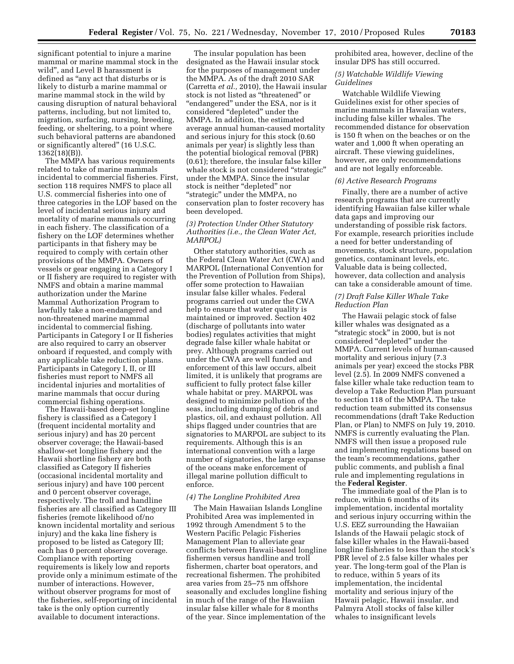significant potential to injure a marine mammal or marine mammal stock in the wild'', and Level B harassment is defined as "any act that disturbs or is likely to disturb a marine mammal or marine mammal stock in the wild by causing disruption of natural behavioral patterns, including, but not limited to, migration, surfacing, nursing, breeding, feeding, or sheltering, to a point where such behavioral patterns are abandoned or significantly altered'' (16 U.S.C. 1362(18)(B)).

The MMPA has various requirements related to take of marine mammals incidental to commercial fisheries. First, section 118 requires NMFS to place all U.S. commercial fisheries into one of three categories in the LOF based on the level of incidental serious injury and mortality of marine mammals occurring in each fishery. The classification of a fishery on the LOF determines whether participants in that fishery may be required to comply with certain other provisions of the MMPA. Owners of vessels or gear engaging in a Category I or II fishery are required to register with NMFS and obtain a marine mammal authorization under the Marine Mammal Authorization Program to lawfully take a non-endangered and non-threatened marine mammal incidental to commercial fishing. Participants in Category I or II fisheries are also required to carry an observer onboard if requested, and comply with any applicable take reduction plans. Participants in Category I, II, or III fisheries must report to NMFS all incidental injuries and mortalities of marine mammals that occur during commercial fishing operations.

The Hawaii-based deep-set longline fishery is classified as a Category I (frequent incidental mortality and serious injury) and has 20 percent observer coverage; the Hawaii-based shallow-set longline fishery and the Hawaii shortline fishery are both classified as Category II fisheries (occasional incidental mortality and serious injury) and have 100 percent and 0 percent observer coverage, respectively. The troll and handline fisheries are all classified as Category III fisheries (remote likelihood of/no known incidental mortality and serious injury) and the kaka line fishery is proposed to be listed as Category III; each has 0 percent observer coverage. Compliance with reporting requirements is likely low and reports provide only a minimum estimate of the number of interactions. However, without observer programs for most of the fisheries, self-reporting of incidental take is the only option currently available to document interactions.

The insular population has been designated as the Hawaii insular stock for the purposes of management under the MMPA. As of the draft 2010 SAR (Carretta *et al.,* 2010), the Hawaii insular stock is not listed as ''threatened'' or ''endangered'' under the ESA, nor is it considered ''depleted'' under the MMPA. In addition, the estimated average annual human-caused mortality and serious injury for this stock (0.60 animals per year) is slightly less than the potential biological removal (PBR) (0.61); therefore, the insular false killer whale stock is not considered "strategic" under the MMPA. Since the insular stock is neither ''depleted'' nor ''strategic'' under the MMPA, no conservation plan to foster recovery has been developed.

# *(3) Protection Under Other Statutory Authorities (i.e., the Clean Water Act, MARPOL)*

Other statutory authorities, such as the Federal Clean Water Act (CWA) and MARPOL (International Convention for the Prevention of Pollution from Ships), offer some protection to Hawaiian insular false killer whales. Federal programs carried out under the CWA help to ensure that water quality is maintained or improved. Section 402 (discharge of pollutants into water bodies) regulates activities that might degrade false killer whale habitat or prey. Although programs carried out under the CWA are well funded and enforcement of this law occurs, albeit limited, it is unlikely that programs are sufficient to fully protect false killer whale habitat or prey. MARPOL was designed to minimize pollution of the seas, including dumping of debris and plastics, oil, and exhaust pollution. All ships flagged under countries that are signatories to MARPOL are subject to its requirements. Although this is an international convention with a large number of signatories, the large expanse of the oceans make enforcement of illegal marine pollution difficult to enforce.

#### *(4) The Longline Prohibited Area*

The Main Hawaiian Islands Longline Prohibited Area was implemented in 1992 through Amendment 5 to the Western Pacific Pelagic Fisheries Management Plan to alleviate gear conflicts between Hawaii-based longline fishermen versus handline and troll fishermen, charter boat operators, and recreational fishermen. The prohibited area varies from 25–75 nm offshore seasonally and excludes longline fishing in much of the range of the Hawaiian insular false killer whale for 8 months of the year. Since implementation of the

prohibited area, however, decline of the insular DPS has still occurred.

# *(5) Watchable Wildlife Viewing Guidelines*

Watchable Wildlife Viewing Guidelines exist for other species of marine mammals in Hawaiian waters, including false killer whales. The recommended distance for observation is 150 ft when on the beaches or on the water and 1,000 ft when operating an aircraft. These viewing guidelines, however, are only recommendations and are not legally enforceable.

#### *(6) Active Research Programs*

Finally, there are a number of active research programs that are currently identifying Hawaiian false killer whale data gaps and improving our understanding of possible risk factors. For example, research priorities include a need for better understanding of movements, stock structure, population genetics, contaminant levels, etc. Valuable data is being collected, however, data collection and analysis can take a considerable amount of time.

# *(7) Draft False Killer Whale Take Reduction Plan*

The Hawaii pelagic stock of false killer whales was designated as a "strategic stock" in 2000, but is not considered ''depleted'' under the MMPA. Current levels of human-caused mortality and serious injury (7.3 animals per year) exceed the stocks PBR level (2.5). In 2009 NMFS convened a false killer whale take reduction team to develop a Take Reduction Plan pursuant to section 118 of the MMPA. The take reduction team submitted its consensus recommendations (draft Take Reduction Plan, or Plan) to NMFS on July 19, 2010. NMFS is currently evaluating the Plan. NMFS will then issue a proposed rule and implementing regulations based on the team's recommendations, gather public comments, and publish a final rule and implementing regulations in the **Federal Register**.

The immediate goal of the Plan is to reduce, within 6 months of its implementation, incidental mortality and serious injury occurring within the U.S. EEZ surrounding the Hawaiian Islands of the Hawaii pelagic stock of false killer whales in the Hawaii-based longline fisheries to less than the stock's PBR level of 2.5 false killer whales per year. The long-term goal of the Plan is to reduce, within 5 years of its implementation, the incidental mortality and serious injury of the Hawaii pelagic, Hawaii insular, and Palmyra Atoll stocks of false killer whales to insignificant levels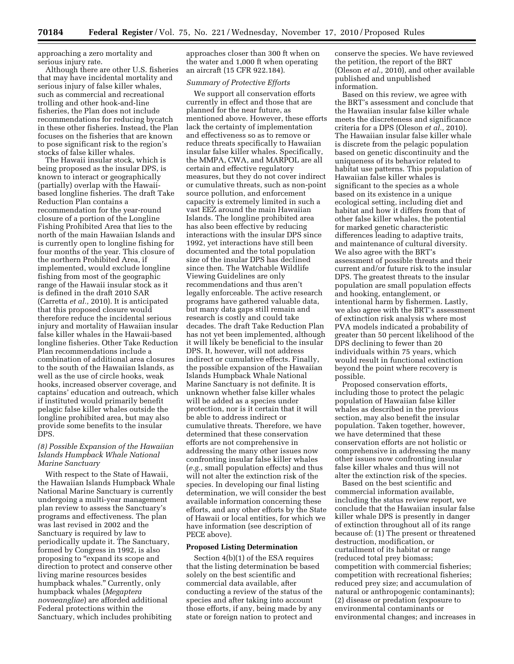approaching a zero mortality and serious injury rate.

Although there are other U.S. fisheries that may have incidental mortality and serious injury of false killer whales, such as commercial and recreational trolling and other hook-and-line fisheries, the Plan does not include recommendations for reducing bycatch in these other fisheries. Instead, the Plan focuses on the fisheries that are known to pose significant risk to the region's stocks of false killer whales.

The Hawaii insular stock, which is being proposed as the insular DPS, is known to interact or geographically (partially) overlap with the Hawaiibased longline fisheries. The draft Take Reduction Plan contains a recommendation for the year-round closure of a portion of the Longline Fishing Prohibited Area that lies to the north of the main Hawaiian Islands and is currently open to longline fishing for four months of the year. This closure of the northern Prohibited Area, if implemented, would exclude longline fishing from most of the geographic range of the Hawaii insular stock as it is defined in the draft 2010 SAR (Carretta *et al.,* 2010). It is anticipated that this proposed closure would therefore reduce the incidental serious injury and mortality of Hawaiian insular false killer whales in the Hawaii-based longline fisheries. Other Take Reduction Plan recommendations include a combination of additional area closures to the south of the Hawaiian Islands, as well as the use of circle hooks, weak hooks, increased observer coverage, and captains' education and outreach, which if instituted would primarily benefit pelagic false killer whales outside the longline prohibited area, but may also provide some benefits to the insular DPS.

# *(8) Possible Expansion of the Hawaiian Islands Humpback Whale National Marine Sanctuary*

With respect to the State of Hawaii, the Hawaiian Islands Humpback Whale National Marine Sanctuary is currently undergoing a multi-year management plan review to assess the Sanctuary's programs and effectiveness. The plan was last revised in 2002 and the Sanctuary is required by law to periodically update it. The Sanctuary, formed by Congress in 1992, is also proposing to "expand its scope and direction to protect and conserve other living marine resources besides humpback whales.'' Currently, only humpback whales (*Megaptera novaeangliae*) are afforded additional Federal protections within the Sanctuary, which includes prohibiting

approaches closer than 300 ft when on the water and 1,000 ft when operating an aircraft (15 CFR 922.184).

### *Summary of Protective Efforts*

We support all conservation efforts currently in effect and those that are planned for the near future, as mentioned above. However, these efforts lack the certainty of implementation and effectiveness so as to remove or reduce threats specifically to Hawaiian insular false killer whales. Specifically, the MMPA, CWA, and MARPOL are all certain and effective regulatory measures, but they do not cover indirect or cumulative threats, such as non-point source pollution, and enforcement capacity is extremely limited in such a vast EEZ around the main Hawaiian Islands. The longline prohibited area has also been effective by reducing interactions with the insular DPS since 1992, yet interactions have still been documented and the total population size of the insular DPS has declined since then. The Watchable Wildlife Viewing Guidelines are only recommendations and thus aren't legally enforceable. The active research programs have gathered valuable data, but many data gaps still remain and research is costly and could take decades. The draft Take Reduction Plan has not yet been implemented, although it will likely be beneficial to the insular DPS. It, however, will not address indirect or cumulative effects. Finally, the possible expansion of the Hawaiian Islands Humpback Whale National Marine Sanctuary is not definite. It is unknown whether false killer whales will be added as a species under protection, nor is it certain that it will be able to address indirect or cumulative threats. Therefore, we have determined that these conservation efforts are not comprehensive in addressing the many other issues now confronting insular false killer whales (*e.g.,* small population effects) and thus will not alter the extinction risk of the species. In developing our final listing determination, we will consider the best available information concerning these efforts, and any other efforts by the State of Hawaii or local entities, for which we have information (see description of PECE above).

## **Proposed Listing Determination**

Section 4(b)(1) of the ESA requires that the listing determination be based solely on the best scientific and commercial data available, after conducting a review of the status of the species and after taking into account those efforts, if any, being made by any state or foreign nation to protect and

conserve the species. We have reviewed the petition, the report of the BRT (Oleson *et al.,* 2010), and other available published and unpublished information.

Based on this review, we agree with the BRT's assessment and conclude that the Hawaiian insular false killer whale meets the discreteness and significance criteria for a DPS (Oleson *et al.,* 2010). The Hawaiian insular false killer whale is discrete from the pelagic population based on genetic discontinuity and the uniqueness of its behavior related to habitat use patterns. This population of Hawaiian false killer whales is significant to the species as a whole based on its existence in a unique ecological setting, including diet and habitat and how it differs from that of other false killer whales, the potential for marked genetic characteristic differences leading to adaptive traits, and maintenance of cultural diversity. We also agree with the BRT's assessment of possible threats and their current and/or future risk to the insular DPS. The greatest threats to the insular population are small population effects and hooking, entanglement, or intentional harm by fishermen. Lastly, we also agree with the BRT's assessment of extinction risk analysis where most PVA models indicated a probability of greater than 50 percent likelihood of the DPS declining to fewer than 20 individuals within 75 years, which would result in functional extinction beyond the point where recovery is possible.

Proposed conservation efforts, including those to protect the pelagic population of Hawaiian false killer whales as described in the previous section, may also benefit the insular population. Taken together, however, we have determined that these conservation efforts are not holistic or comprehensive in addressing the many other issues now confronting insular false killer whales and thus will not alter the extinction risk of the species.

Based on the best scientific and commercial information available, including the status review report, we conclude that the Hawaiian insular false killer whale DPS is presently in danger of extinction throughout all of its range because of: (1) The present or threatened destruction, modification, or curtailment of its habitat or range (reduced total prey biomass; competition with commercial fisheries; competition with recreational fisheries; reduced prey size; and accumulation of natural or anthropogenic contaminants); (2) disease or predation (exposure to environmental contaminants or environmental changes; and increases in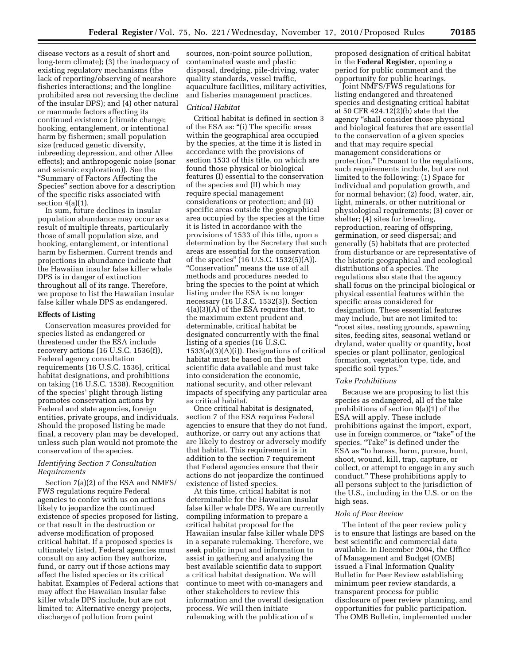disease vectors as a result of short and long-term climate); (3) the inadequacy of existing regulatory mechanisms (the lack of reporting/observing of nearshore fisheries interactions; and the longline prohibited area not reversing the decline of the insular DPS); and (4) other natural or manmade factors affecting its continued existence (climate change; hooking, entanglement, or intentional harm by fishermen; small population size (reduced genetic diversity, inbreeding depression, and other Allee effects); and anthropogenic noise (sonar and seismic exploration)). See the ''Summary of Factors Affecting the Species'' section above for a description of the specific risks associated with section  $4(a)(1)$ .

In sum, future declines in insular population abundance may occur as a result of multiple threats, particularly those of small population size, and hooking, entanglement, or intentional harm by fishermen. Current trends and projections in abundance indicate that the Hawaiian insular false killer whale DPS is in danger of extinction throughout all of its range. Therefore, we propose to list the Hawaiian insular false killer whale DPS as endangered.

### **Effects of Listing**

Conservation measures provided for species listed as endangered or threatened under the ESA include recovery actions (16 U.S.C. 1536(f)), Federal agency consultation requirements (16 U.S.C. 1536), critical habitat designations, and prohibitions on taking (16 U.S.C. 1538). Recognition of the species' plight through listing promotes conservation actions by Federal and state agencies, foreign entities, private groups, and individuals. Should the proposed listing be made final, a recovery plan may be developed, unless such plan would not promote the conservation of the species.

# *Identifying Section 7 Consultation Requirements*

Section 7(a)(2) of the ESA and NMFS/ FWS regulations require Federal agencies to confer with us on actions likely to jeopardize the continued existence of species proposed for listing, or that result in the destruction or adverse modification of proposed critical habitat. If a proposed species is ultimately listed, Federal agencies must consult on any action they authorize, fund, or carry out if those actions may affect the listed species or its critical habitat. Examples of Federal actions that may affect the Hawaiian insular false killer whale DPS include, but are not limited to: Alternative energy projects, discharge of pollution from point

sources, non-point source pollution, contaminated waste and plastic disposal, dredging, pile-driving, water quality standards, vessel traffic, aquaculture facilities, military activities, and fisheries management practices.

#### *Critical Habitat*

Critical habitat is defined in section 3 of the ESA as: "(i) The specific areas within the geographical area occupied by the species, at the time it is listed in accordance with the provisions of section 1533 of this title, on which are found those physical or biological features (I) essential to the conservation of the species and (II) which may require special management considerations or protection; and (ii) specific areas outside the geographical area occupied by the species at the time it is listed in accordance with the provisions of 1533 of this title, upon a determination by the Secretary that such areas are essential for the conservation of the species'' (16 U.S.C. 1532(5)(A)). ''Conservation'' means the use of all methods and procedures needed to bring the species to the point at which listing under the ESA is no longer necessary (16 U.S.C. 1532(3)). Section 4(a)(3)(A) of the ESA requires that, to the maximum extent prudent and determinable, critical habitat be designated concurrently with the final listing of a species (16 U.S.C. 1533(a)(3)(A)(i)). Designations of critical habitat must be based on the best scientific data available and must take into consideration the economic, national security, and other relevant impacts of specifying any particular area as critical habitat.

Once critical habitat is designated, section 7 of the ESA requires Federal agencies to ensure that they do not fund, authorize, or carry out any actions that are likely to destroy or adversely modify that habitat. This requirement is in addition to the section 7 requirement that Federal agencies ensure that their actions do not jeopardize the continued existence of listed species.

At this time, critical habitat is not determinable for the Hawaiian insular false killer whale DPS. We are currently compiling information to prepare a critical habitat proposal for the Hawaiian insular false killer whale DPS in a separate rulemaking. Therefore, we seek public input and information to assist in gathering and analyzing the best available scientific data to support a critical habitat designation. We will continue to meet with co-managers and other stakeholders to review this information and the overall designation process. We will then initiate rulemaking with the publication of a

proposed designation of critical habitat in the **Federal Register**, opening a period for public comment and the opportunity for public hearings.

Joint NMFS/FWS regulations for listing endangered and threatened species and designating critical habitat at 50 CFR 424.12(2)(b) state that the agency ''shall consider those physical and biological features that are essential to the conservation of a given species and that may require special management considerations or protection.'' Pursuant to the regulations, such requirements include, but are not limited to the following: (1) Space for individual and population growth, and for normal behavior; (2) food, water, air, light, minerals, or other nutritional or physiological requirements; (3) cover or shelter; (4) sites for breeding, reproduction, rearing of offspring, germination, or seed dispersal; and generally (5) habitats that are protected from disturbance or are representative of the historic geographical and ecological distributions of a species. The regulations also state that the agency shall focus on the principal biological or physical essential features within the specific areas considered for designation. These essential features may include, but are not limited to: ''roost sites, nesting grounds, spawning sites, feeding sites, seasonal wetland or dryland, water quality or quantity, host species or plant pollinator, geological formation, vegetation type, tide, and specific soil types.''

# *Take Prohibitions*

Because we are proposing to list this species as endangered, all of the take prohibitions of section 9(a)(1) of the ESA will apply. These include prohibitions against the import, export, use in foreign commerce, or ''take'' of the species. "Take" is defined under the ESA as ''to harass, harm, pursue, hunt, shoot, wound, kill, trap, capture, or collect, or attempt to engage in any such conduct.'' These prohibitions apply to all persons subject to the jurisdiction of the U.S., including in the U.S. or on the high seas.

#### *Role of Peer Review*

The intent of the peer review policy is to ensure that listings are based on the best scientific and commercial data available. In December 2004, the Office of Management and Budget (OMB) issued a Final Information Quality Bulletin for Peer Review establishing minimum peer review standards, a transparent process for public disclosure of peer review planning, and opportunities for public participation. The OMB Bulletin, implemented under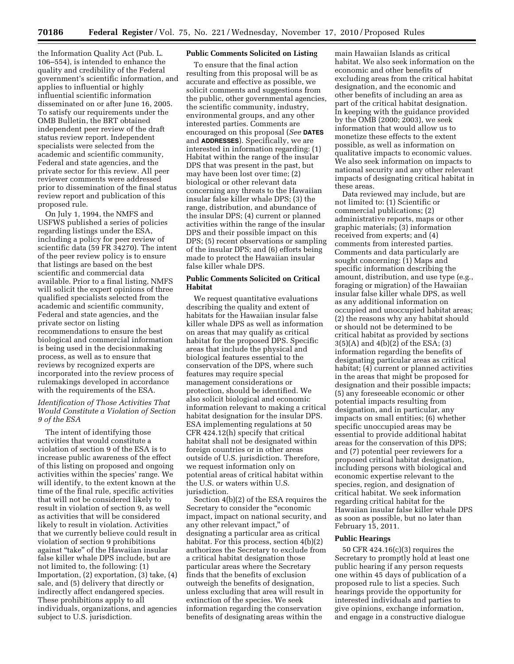the Information Quality Act (Pub. L. 106–554), is intended to enhance the quality and credibility of the Federal government's scientific information, and applies to influential or highly influential scientific information disseminated on or after June 16, 2005. To satisfy our requirements under the OMB Bulletin, the BRT obtained independent peer review of the draft status review report. Independent specialists were selected from the academic and scientific community, Federal and state agencies, and the private sector for this review. All peer reviewer comments were addressed prior to dissemination of the final status review report and publication of this proposed rule.

On July 1, 1994, the NMFS and USFWS published a series of policies regarding listings under the ESA, including a policy for peer review of scientific data (59 FR 34270). The intent of the peer review policy is to ensure that listings are based on the best scientific and commercial data available. Prior to a final listing, NMFS will solicit the expert opinions of three qualified specialists selected from the academic and scientific community, Federal and state agencies, and the private sector on listing recommendations to ensure the best biological and commercial information is being used in the decisionmaking process, as well as to ensure that reviews by recognized experts are incorporated into the review process of rulemakings developed in accordance with the requirements of the ESA.

# *Identification of Those Activities That Would Constitute a Violation of Section 9 of the ESA*

The intent of identifying those activities that would constitute a violation of section 9 of the ESA is to increase public awareness of the effect of this listing on proposed and ongoing activities within the species' range. We will identify, to the extent known at the time of the final rule, specific activities that will not be considered likely to result in violation of section 9, as well as activities that will be considered likely to result in violation. Activities that we currently believe could result in violation of section 9 prohibitions against ''take'' of the Hawaiian insular false killer whale DPS include, but are not limited to, the following: (1) Importation, (2) exportation, (3) take, (4) sale, and (5) delivery that directly or indirectly affect endangered species. These prohibitions apply to all individuals, organizations, and agencies subject to U.S. jurisdiction.

# **Public Comments Solicited on Listing**

To ensure that the final action resulting from this proposal will be as accurate and effective as possible, we solicit comments and suggestions from the public, other governmental agencies, the scientific community, industry, environmental groups, and any other interested parties. Comments are encouraged on this proposal (*See* **DATES** and **ADDRESSES**). Specifically, we are interested in information regarding: (1) Habitat within the range of the insular DPS that was present in the past, but may have been lost over time; (2) biological or other relevant data concerning any threats to the Hawaiian insular false killer whale DPS; (3) the range, distribution, and abundance of the insular DPS; (4) current or planned activities within the range of the insular DPS and their possible impact on this DPS; (5) recent observations or sampling of the insular DPS; and (6) efforts being made to protect the Hawaiian insular false killer whale DPS.

# **Public Comments Solicited on Critical Habitat**

We request quantitative evaluations describing the quality and extent of habitats for the Hawaiian insular false killer whale DPS as well as information on areas that may qualify as critical habitat for the proposed DPS. Specific areas that include the physical and biological features essential to the conservation of the DPS, where such features may require special management considerations or protection, should be identified. We also solicit biological and economic information relevant to making a critical habitat designation for the insular DPS. ESA implementing regulations at 50 CFR 424.12(h) specify that critical habitat shall not be designated within foreign countries or in other areas outside of U.S. jurisdiction. Therefore, we request information only on potential areas of critical habitat within the U.S. or waters within U.S. jurisdiction.

Section 4(b)(2) of the ESA requires the Secretary to consider the "economic impact, impact on national security, and any other relevant impact,'' of designating a particular area as critical habitat. For this process, section  $4(b)(2)$ authorizes the Secretary to exclude from a critical habitat designation those particular areas where the Secretary finds that the benefits of exclusion outweigh the benefits of designation, unless excluding that area will result in extinction of the species. We seek information regarding the conservation benefits of designating areas within the

main Hawaiian Islands as critical habitat. We also seek information on the economic and other benefits of excluding areas from the critical habitat designation, and the economic and other benefits of including an area as part of the critical habitat designation. In keeping with the guidance provided by the OMB (2000; 2003), we seek information that would allow us to monetize these effects to the extent possible, as well as information on qualitative impacts to economic values. We also seek information on impacts to national security and any other relevant impacts of designating critical habitat in these areas.

Data reviewed may include, but are not limited to: (1) Scientific or commercial publications; (2) administrative reports, maps or other graphic materials; (3) information received from experts; and (4) comments from interested parties. Comments and data particularly are sought concerning: (1) Maps and specific information describing the amount, distribution, and use type (e.g., foraging or migration) of the Hawaiian insular false killer whale DPS, as well as any additional information on occupied and unoccupied habitat areas; (2) the reasons why any habitat should or should not be determined to be critical habitat as provided by sections 3(5)(A) and 4(b)(2) of the ESA; (3) information regarding the benefits of designating particular areas as critical habitat; (4) current or planned activities in the areas that might be proposed for designation and their possible impacts; (5) any foreseeable economic or other potential impacts resulting from designation, and in particular, any impacts on small entities; (6) whether specific unoccupied areas may be essential to provide additional habitat areas for the conservation of this DPS; and (7) potential peer reviewers for a proposed critical habitat designation, including persons with biological and economic expertise relevant to the species, region, and designation of critical habitat. We seek information regarding critical habitat for the Hawaiian insular false killer whale DPS as soon as possible, but no later than February 15, 2011.

### **Public Hearings**

50 CFR 424.16(c)(3) requires the Secretary to promptly hold at least one public hearing if any person requests one within 45 days of publication of a proposed rule to list a species. Such hearings provide the opportunity for interested individuals and parties to give opinions, exchange information, and engage in a constructive dialogue